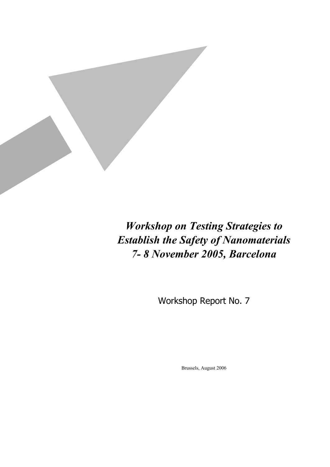

*Workshop on Testing Strategies to Establish the Safety of Nanomaterials 7- 8 November 2005, Barcelona* 

Workshop Report No. 7

Brussels, August 2006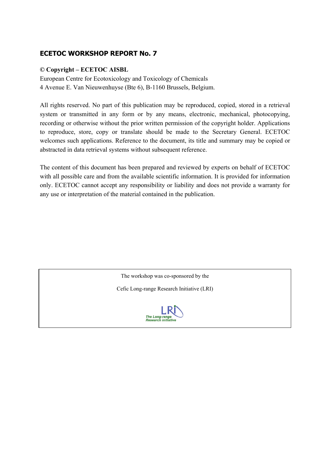# **ECETOC WORKSHOP REPORT No. 7**

## **© Copyright – ECETOC AISBL**

European Centre for Ecotoxicology and Toxicology of Chemicals 4 Avenue E. Van Nieuwenhuyse (Bte 6), B-1160 Brussels, Belgium.

All rights reserved. No part of this publication may be reproduced, copied, stored in a retrieval system or transmitted in any form or by any means, electronic, mechanical, photocopying, recording or otherwise without the prior written permission of the copyright holder. Applications to reproduce, store, copy or translate should be made to the Secretary General. ECETOC welcomes such applications. Reference to the document, its title and summary may be copied or abstracted in data retrieval systems without subsequent reference.

The content of this document has been prepared and reviewed by experts on behalf of ECETOC with all possible care and from the available scientific information. It is provided for information only. ECETOC cannot accept any responsibility or liability and does not provide a warranty for any use or interpretation of the material contained in the publication.

The workshop was co-sponsored by the

Cefic Long-range Research Initiative (LRI)

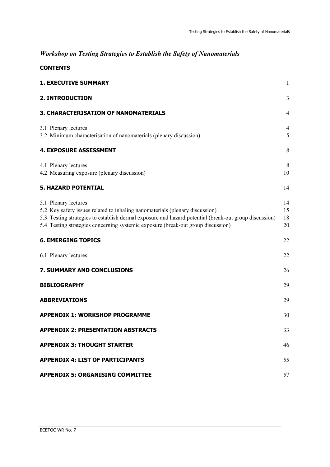# *Workshop on Testing Strategies to Establish the Safety of Nanomaterials*

| <b>CONTENTS</b>                                                                                                                                                                                                                                                                                   |                      |
|---------------------------------------------------------------------------------------------------------------------------------------------------------------------------------------------------------------------------------------------------------------------------------------------------|----------------------|
| <b>1. EXECUTIVE SUMMARY</b>                                                                                                                                                                                                                                                                       | 1                    |
| <b>2. INTRODUCTION</b>                                                                                                                                                                                                                                                                            | 3                    |
| <b>3. CHARACTERISATION OF NANOMATERIALS</b>                                                                                                                                                                                                                                                       | $\overline{4}$       |
| 3.1 Plenary lectures<br>3.2 Minimum characterisation of nanomaterials (plenary discussion)                                                                                                                                                                                                        | $\overline{4}$<br>5  |
| <b>4. EXPOSURE ASSESSMENT</b>                                                                                                                                                                                                                                                                     | 8                    |
| 4.1 Plenary lectures<br>4.2 Measuring exposure (plenary discussion)                                                                                                                                                                                                                               | 8<br>10              |
| <b>5. HAZARD POTENTIAL</b>                                                                                                                                                                                                                                                                        | 14                   |
| 5.1 Plenary lectures<br>5.2 Key safety issues related to inhaling nanomaterials (plenary discussion)<br>5.3 Testing strategies to establish dermal exposure and hazard potential (break-out group discussion)<br>5.4 Testing strategies concerning systemic exposure (break-out group discussion) | 14<br>15<br>18<br>20 |
| <b>6. EMERGING TOPICS</b>                                                                                                                                                                                                                                                                         | 22                   |
| 6.1 Plenary lectures                                                                                                                                                                                                                                                                              | 22                   |
| 7. SUMMARY AND CONCLUSIONS                                                                                                                                                                                                                                                                        | 26                   |
| <b>BIBLIOGRAPHY</b>                                                                                                                                                                                                                                                                               | 29                   |
| <b>ABBREVIATIONS</b>                                                                                                                                                                                                                                                                              | 29                   |
| <b>APPENDIX 1: WORKSHOP PROGRAMME</b>                                                                                                                                                                                                                                                             | 30                   |
| <b>APPENDIX 2: PRESENTATION ABSTRACTS</b>                                                                                                                                                                                                                                                         | 33                   |
| <b>APPENDIX 3: THOUGHT STARTER</b>                                                                                                                                                                                                                                                                | 46                   |
| <b>APPENDIX 4: LIST OF PARTICIPANTS</b>                                                                                                                                                                                                                                                           | 55                   |
| <b>APPENDIX 5: ORGANISING COMMITTEE</b>                                                                                                                                                                                                                                                           | 57                   |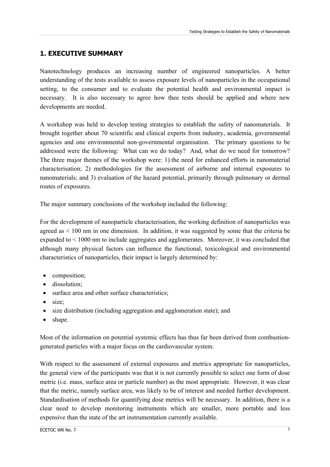# **1. EXECUTIVE SUMMARY**

Nanotechnology produces an increasing number of engineered nanoparticles. A better understanding of the tests available to assess exposure levels of nanoparticles in the occupational setting, to the consumer and to evaluate the potential health and environmental impact is necessary. It is also necessary to agree how thee tests should be applied and where new developments are needed.

A workshop was held to develop testing strategies to establish the safety of nanomaterials. It brought together about 70 scientific and clinical experts from industry, academia, governmental agencies and one environmental non-governmental organisation. The primary questions to be addressed were the following: What can we do today? And, what do we need for tomorrow? The three major themes of the workshop were: 1) the need for enhanced efforts in nanomaterial characterisation; 2) methodologies for the assessment of airborne and internal exposures to nanomaterials; and 3) evaluation of the hazard potential, primarily through pulmonary or dermal routes of exposures.

The major summary conclusions of the workshop included the following:

For the development of nanoparticle characterisation, the working definition of nanoparticles was agreed as  $< 100$  nm in one dimension. In addition, it was suggested by some that the criteria be expanded to < 1000 nm to include aggregates and agglomerates. Moreover, it was concluded that although many physical factors can influence the functional, toxicological and environmental characteristics of nanoparticles, their impact is largely determined by:

- composition;
- dissolution;
- surface area and other surface characteristics;
- size:
- size distribution (including aggregation and agglomeration state); and
- shape.

Most of the information on potential systemic effects has thus far been derived from combustiongenerated particles with a major focus on the cardiovascular system.

With respect to the assessment of external exposures and metrics appropriate for nanoparticles, the general view of the participants was that it is not currently possible to select one form of dose metric (i.e. mass, surface area or particle number) as the most appropriate. However, it was clear that the metric, namely surface area, was likely to be of interest and needed further development. Standardisation of methods for quantifying dose metrics will be necessary. In addition, there is a clear need to develop monitoring instruments which are smaller, more portable and less expensive than the state of the art instrumentation currently available.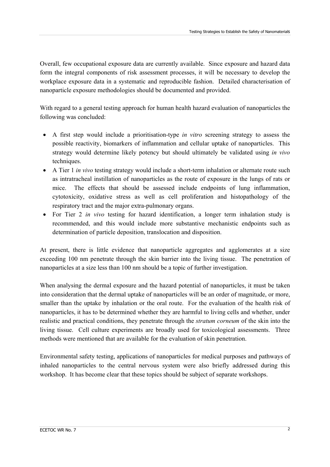Overall, few occupational exposure data are currently available. Since exposure and hazard data form the integral components of risk assessment processes, it will be necessary to develop the workplace exposure data in a systematic and reproducible fashion. Detailed characterisation of nanoparticle exposure methodologies should be documented and provided.

With regard to a general testing approach for human health hazard evaluation of nanoparticles the following was concluded:

- A first step would include a prioritisation-type *in vitro* screening strategy to assess the possible reactivity, biomarkers of inflammation and cellular uptake of nanoparticles. This strategy would determine likely potency but should ultimately be validated using *in vivo*  techniques.
- A Tier 1 *in vivo* testing strategy would include a short-term inhalation or alternate route such as intratracheal instillation of nanoparticles as the route of exposure in the lungs of rats or mice. The effects that should be assessed include endpoints of lung inflammation, cytotoxicity, oxidative stress as well as cell proliferation and histopathology of the respiratory tract and the major extra-pulmonary organs.
- For Tier 2 *in vivo* testing for hazard identification, a longer term inhalation study is recommended, and this would include more substantive mechanistic endpoints such as determination of particle deposition, translocation and disposition.

At present, there is little evidence that nanoparticle aggregates and agglomerates at a size exceeding 100 nm penetrate through the skin barrier into the living tissue. The penetration of nanoparticles at a size less than 100 nm should be a topic of further investigation.

When analysing the dermal exposure and the hazard potential of nanoparticles, it must be taken into consideration that the dermal uptake of nanoparticles will be an order of magnitude, or more, smaller than the uptake by inhalation or the oral route. For the evaluation of the health risk of nanoparticles, it has to be determined whether they are harmful to living cells and whether, under realistic and practical conditions, they penetrate through the *stratum corneum* of the skin into the living tissue. Cell culture experiments are broadly used for toxicological assessments. Three methods were mentioned that are available for the evaluation of skin penetration.

Environmental safety testing, applications of nanoparticles for medical purposes and pathways of inhaled nanoparticles to the central nervous system were also briefly addressed during this workshop. It has become clear that these topics should be subject of separate workshops.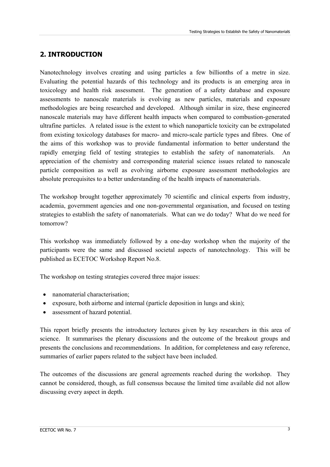# **2. INTRODUCTION**

Nanotechnology involves creating and using particles a few billionths of a metre in size. Evaluating the potential hazards of this technology and its products is an emerging area in toxicology and health risk assessment. The generation of a safety database and exposure assessments to nanoscale materials is evolving as new particles, materials and exposure methodologies are being researched and developed. Although similar in size, these engineered nanoscale materials may have different health impacts when compared to combustion-generated ultrafine particles. A related issue is the extent to which nanoparticle toxicity can be extrapolated from existing toxicology databases for macro- and micro-scale particle types and fibres. One of the aims of this workshop was to provide fundamental information to better understand the rapidly emerging field of testing strategies to establish the safety of nanomaterials. An appreciation of the chemistry and corresponding material science issues related to nanoscale particle composition as well as evolving airborne exposure assessment methodologies are absolute prerequisites to a better understanding of the health impacts of nanomaterials.

The workshop brought together approximately 70 scientific and clinical experts from industry, academia, government agencies and one non-governmental organisation, and focused on testing strategies to establish the safety of nanomaterials. What can we do today? What do we need for tomorrow?

This workshop was immediately followed by a one-day workshop when the majority of the participants were the same and discussed societal aspects of nanotechnology. This will be published as ECETOC Workshop Report No.8.

The workshop on testing strategies covered three major issues:

- nanomaterial characterisation;
- exposure, both airborne and internal (particle deposition in lungs and skin):
- assessment of hazard potential.

This report briefly presents the introductory lectures given by key researchers in this area of science. It summarises the plenary discussions and the outcome of the breakout groups and presents the conclusions and recommendations. In addition, for completeness and easy reference, summaries of earlier papers related to the subject have been included.

The outcomes of the discussions are general agreements reached during the workshop. They cannot be considered, though, as full consensus because the limited time available did not allow discussing every aspect in depth.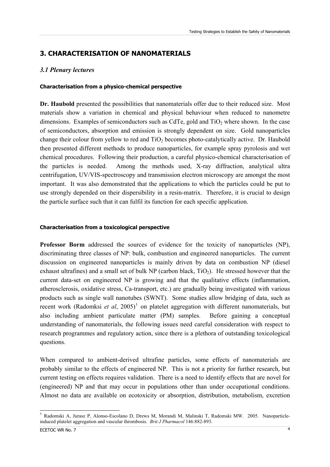# <span id="page-6-0"></span>**3. CHARACTERISATION OF NANOMATERIALS**

## *3.1 Plenary lectures*

#### **Characterisation from a physico-chemical perspective**

**Dr. Haubold** presented the possibilities that nanomaterials offer due to their reduced size. Most materials show a variation in chemical and physical behaviour when reduced to nanometre dimensions. Examples of semiconductors such as CdTe, gold and  $TiO<sub>2</sub>$  where shown. In the case of semiconductors, absorption and emission is strongly dependent on size. Gold nanoparticles change their colour from yellow to red and  $TiO<sub>2</sub>$  becomes photo-catalytically active. Dr. Haubold then presented different methods to produce nanoparticles, for example spray pyrolosis and wet chemical procedures. Following their production, a careful physico-chemical characterisation of the particles is needed. Among the methods used, X-ray diffraction, analytical ultra centrifugation, UV/VIS-spectroscopy and transmission electron microscopy are amongst the most important. It was also demonstrated that the applications to which the particles could be put to use strongly depended on their dispersibility in a resin-matrix. Therefore, it is crucial to design the particle surface such that it can fulfil its function for each specific application.

#### **Characterisation from a toxicological perspective**

**Professor Borm** addressed the sources of evidence for the toxicity of nanoparticles (NP), discriminating three classes of NP: bulk, combustion and engineered nanoparticles. The current discussion on engineered nanoparticles is mainly driven by data on combustion NP (diesel exhaust ultrafines) and a small set of bulk NP (carbon black,  $TiO<sub>2</sub>$ ). He stressed however that the current data-set on engineered NP is growing and that the qualitative effects (inflammation, atherosclerosis, oxidative stress, Ca-transport, etc.) are gradually being investigated with various products such as single wall nanotubes (SWNT). Some studies allow bridging of data, such as recent work (Radomksi *et al*, 2005)<sup>[1](#page-6-0)</sup> on platelet aggregation with different nanomaterials, but also including ambient particulate matter (PM) samples. Before gaining a conceptual understanding of nanomaterials, the following issues need careful consideration with respect to research programmes and regulatory action, since there is a plethora of outstanding toxicological questions.

When compared to ambient-derived ultrafine particles, some effects of nanomaterials are probably similar to the effects of engineered NP. This is not a priority for further research, but current testing on effects requires validation. There is a need to identify effects that are novel for (engineered) NP and that may occur in populations other than under occupational conditions. Almost no data are available on ecotoxicity or absorption, distribution, metabolism, excretion

 $\overline{a}$ <sup>1</sup> Radomski A, Jurasz P, Alonso-Escolano D, Drews M, Morandi M, Malinski T, Radomski MW. 2005. Nanoparticleinduced platelet aggregation and vascular thrombosis. *Brit J Pharmacol* 146:882-893.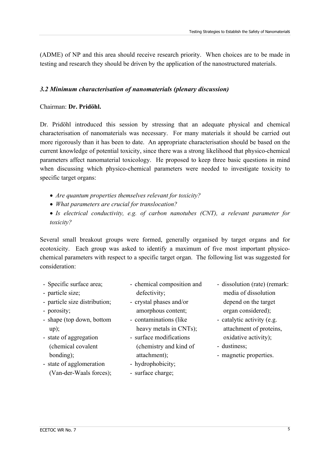(ADME) of NP and this area should receive research priority. When choices are to be made in testing and research they should be driven by the application of the nanostructured materials.

## *3.2 Minimum characterisation of nanomaterials (plenary discussion)*

## Chairman: **Dr. Pridöhl.**

Dr. Pridöhl introduced this session by stressing that an adequate physical and chemical characterisation of nanomaterials was necessary. For many materials it should be carried out more rigorously than it has been to date. An appropriate characterisation should be based on the current knowledge of potential toxicity, since there was a strong likelihood that physico-chemical parameters affect nanomaterial toxicology. He proposed to keep three basic questions in mind when discussing which physico-chemical parameters were needed to investigate toxicity to specific target organs:

- *Are quantum properties themselves relevant for toxicity?*
- *What parameters are crucial for translocation?*
- *Is electrical conductivity, e.g. of carbon nanotubes (CNT), a relevant parameter for toxicity?*

Several small breakout groups were formed, generally organised by target organs and for ecotoxicity. Each group was asked to identify a maximum of five most important physicochemical parameters with respect to a specific target organ. The following list was suggested for consideration:

- Specific surface area;
- particle size;
- particle size distribution;
- porosity;
- shape (top down, bottom up);
- state of aggregation (chemical covalent bonding);
- state of agglomeration (Van-der-Waals forces);
- chemical composition and defectivity;
- crystal phases and/or amorphous content;
- contaminations (like heavy metals in CNTs);
- surface modifications (chemistry and kind of attachment);
- hydrophobicity;
- surface charge;
- dissolution (rate) (remark: media of dissolution depend on the target organ considered);
- catalytic activity (e.g. attachment of proteins, oxidative activity);
- dustiness;
- magnetic properties.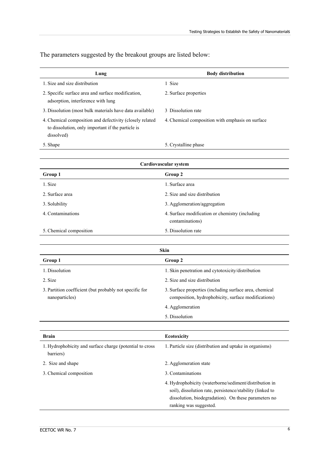| Lung                                                                                                                        | <b>Body distribution</b>                         |
|-----------------------------------------------------------------------------------------------------------------------------|--------------------------------------------------|
| 1. Size and size distribution                                                                                               | 1 Size                                           |
| 2. Specific surface area and surface modification,<br>adsorption, interference with lung                                    | 2. Surface properties                            |
| 3. Dissolution (most bulk materials have data available)                                                                    | 3 Dissolution rate                               |
| 4. Chemical composition and defectivity (closely related<br>to dissolution, only important if the particle is<br>dissolved) | 4. Chemical composition with emphasis on surface |
| 5. Shape                                                                                                                    | 5. Crystalline phase                             |

The parameters suggested by the breakout groups are listed below:

| Cardiovascular system   |                                                                    |  |
|-------------------------|--------------------------------------------------------------------|--|
| Group 1                 | Group 2                                                            |  |
| 1. Size                 | 1. Surface area                                                    |  |
| 2. Surface area         | 2. Size and size distribution                                      |  |
| 3. Solubility           | 3. Agglomeration/aggregation                                       |  |
| 4. Contaminations       | 4. Surface modification or chemistry (including<br>contaminations) |  |
| 5. Chemical composition | 5. Dissolution rate                                                |  |

| Skin                                                                      |                                                                                                                                                                                                       |  |
|---------------------------------------------------------------------------|-------------------------------------------------------------------------------------------------------------------------------------------------------------------------------------------------------|--|
| Group 1                                                                   | Group 2                                                                                                                                                                                               |  |
| 1. Dissolution                                                            | 1. Skin penetration and cytotoxicity/distribution                                                                                                                                                     |  |
| 2. Size                                                                   | 2. Size and size distribution                                                                                                                                                                         |  |
| 3. Partition coefficient (but probably not specific for<br>nanoparticles) | 3. Surface properties (including surface area, chemical<br>composition, hydrophobicity, surface modifications)                                                                                        |  |
|                                                                           | 4. Agglomeration                                                                                                                                                                                      |  |
|                                                                           | 5. Dissolution                                                                                                                                                                                        |  |
|                                                                           |                                                                                                                                                                                                       |  |
| <b>Brain</b>                                                              | Ecotoxicity                                                                                                                                                                                           |  |
| 1. Hydrophobicity and surface charge (potential to cross<br>barriers)     | 1. Particle size (distribution and uptake in organisms)                                                                                                                                               |  |
| 2. Size and shape                                                         | 2. Agglomeration state                                                                                                                                                                                |  |
| 3. Chemical composition                                                   | 3. Contaminations                                                                                                                                                                                     |  |
|                                                                           | 4. Hydrophobicity (waterborne/sediment/distribution in<br>soil), dissolution rate, persistence/stability (linked to<br>dissolution, biodegradation). On these parameters no<br>ranking was suggested. |  |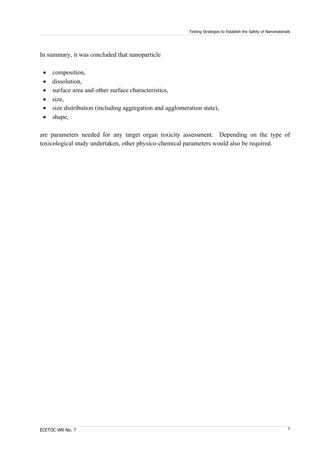In summary, it was concluded that nanoparticle

- composition,
- dissolution,
- surface area and other surface characteristics,
- size,
- size distribution (including aggregation and agglomeration state),
- shape,

are parameters needed for any target organ toxicity assessment. Depending on the type of toxicological study undertaken, other physico-chemical parameters would also be required.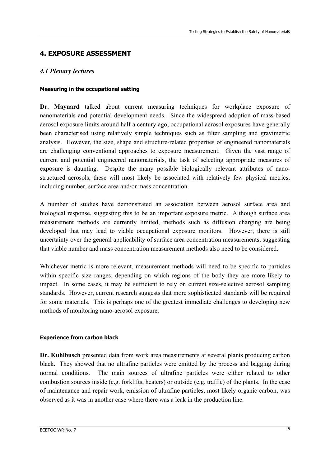# **4. EXPOSURE ASSESSMENT**

## *4.1 Plenary lectures*

#### **Measuring in the occupational setting**

**Dr. Maynard** talked about current measuring techniques for workplace exposure of nanomaterials and potential development needs. Since the widespread adoption of mass-based aerosol exposure limits around half a century ago, occupational aerosol exposures have generally been characterised using relatively simple techniques such as filter sampling and gravimetric analysis. However, the size, shape and structure-related properties of engineered nanomaterials are challenging conventional approaches to exposure measurement. Given the vast range of current and potential engineered nanomaterials, the task of selecting appropriate measures of exposure is daunting. Despite the many possible biologically relevant attributes of nanostructured aerosols, these will most likely be associated with relatively few physical metrics, including number, surface area and/or mass concentration.

A number of studies have demonstrated an association between aerosol surface area and biological response, suggesting this to be an important exposure metric. Although surface area measurement methods are currently limited, methods such as diffusion charging are being developed that may lead to viable occupational exposure monitors. However, there is still uncertainty over the general applicability of surface area concentration measurements, suggesting that viable number and mass concentration measurement methods also need to be considered.

Whichever metric is more relevant, measurement methods will need to be specific to particles within specific size ranges, depending on which regions of the body they are more likely to impact. In some cases, it may be sufficient to rely on current size-selective aerosol sampling standards. However, current research suggests that more sophisticated standards will be required for some materials. This is perhaps one of the greatest immediate challenges to developing new methods of monitoring nano-aerosol exposure.

#### **Experience from carbon black**

**Dr. Kuhlbusch** presented data from work area measurements at several plants producing carbon black. They showed that no ultrafine particles were emitted by the process and bagging during normal conditions. The main sources of ultrafine particles were either related to other combustion sources inside (e.g. forklifts, heaters) or outside (e.g. traffic) of the plants. In the case of maintenance and repair work, emission of ultrafine particles, most likely organic carbon, was observed as it was in another case where there was a leak in the production line.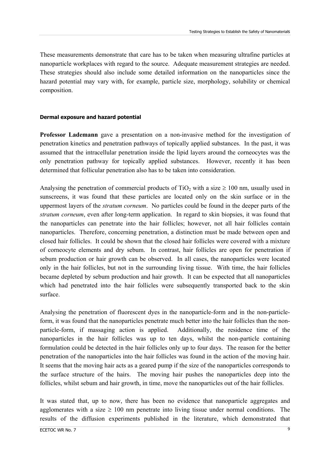These measurements demonstrate that care has to be taken when measuring ultrafine particles at nanoparticle workplaces with regard to the source. Adequate measurement strategies are needed. These strategies should also include some detailed information on the nanoparticles since the hazard potential may vary with, for example, particle size, morphology, solubility or chemical composition.

#### **Dermal exposure and hazard potential**

**Professor Lademann** gave a presentation on a non-invasive method for the investigation of penetration kinetics and penetration pathways of topically applied substances. In the past, it was assumed that the intracellular penetration inside the lipid layers around the corneocytes was the only penetration pathway for topically applied substances. However, recently it has been determined that follicular penetration also has to be taken into consideration.

Analysing the penetration of commercial products of  $TiO<sub>2</sub>$  with a size  $\geq 100$  nm, usually used in sunscreens, it was found that these particles are located only on the skin surface or in the uppermost layers of the *stratum corneum*. No particles could be found in the deeper parts of the *stratum corneum*, even after long-term application. In regard to skin biopsies, it was found that the nanoparticles can penetrate into the hair follicles; however, not all hair follicles contain nanoparticles. Therefore, concerning penetration, a distinction must be made between open and closed hair follicles. It could be shown that the closed hair follicles were covered with a mixture of corneocyte elements and dry sebum. In contrast, hair follicles are open for penetration if sebum production or hair growth can be observed. In all cases, the nanoparticles were located only in the hair follicles, but not in the surrounding living tissue. With time, the hair follicles became depleted by sebum production and hair growth. It can be expected that all nanoparticles which had penetrated into the hair follicles were subsequently transported back to the skin surface.

Analysing the penetration of fluorescent dyes in the nanoparticle-form and in the non-particleform, it was found that the nanoparticles penetrate much better into the hair follicles than the nonparticle-form, if massaging action is applied. Additionally, the residence time of the nanoparticles in the hair follicles was up to ten days, whilst the non-particle containing formulation could be detected in the hair follicles only up to four days. The reason for the better penetration of the nanoparticles into the hair follicles was found in the action of the moving hair. It seems that the moving hair acts as a geared pump if the size of the nanoparticles corresponds to the surface structure of the hairs. The moving hair pushes the nanoparticles deep into the follicles, whilst sebum and hair growth, in time, move the nanoparticles out of the hair follicles.

It was stated that, up to now, there has been no evidence that nanoparticle aggregates and agglomerates with a size  $\geq 100$  nm penetrate into living tissue under normal conditions. The results of the diffusion experiments published in the literature, which demonstrated that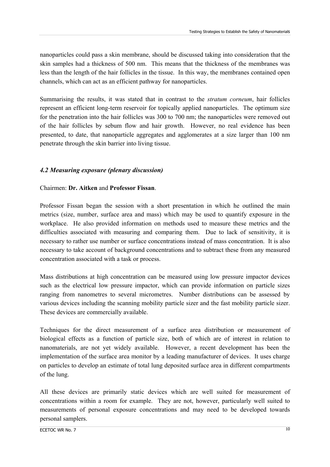nanoparticles could pass a skin membrane, should be discussed taking into consideration that the skin samples had a thickness of 500 nm. This means that the thickness of the membranes was less than the length of the hair follicles in the tissue. In this way, the membranes contained open channels, which can act as an efficient pathway for nanoparticles.

Summarising the results, it was stated that in contrast to the *stratum corneum*, hair follicles represent an efficient long-term reservoir for topically applied nanoparticles. The optimum size for the penetration into the hair follicles was 300 to 700 nm; the nanoparticles were removed out of the hair follicles by sebum flow and hair growth. However, no real evidence has been presented, to date, that nanoparticle aggregates and agglomerates at a size larger than 100 nm penetrate through the skin barrier into living tissue.

## *4.2 Measuring exposure (plenary discussion)*

## Chairmen: **Dr. Aitken** and **Professor Fissan**.

Professor Fissan began the session with a short presentation in which he outlined the main metrics (size, number, surface area and mass) which may be used to quantify exposure in the workplace. He also provided information on methods used to measure these metrics and the difficulties associated with measuring and comparing them. Due to lack of sensitivity, it is necessary to rather use number or surface concentrations instead of mass concentration. It is also necessary to take account of background concentrations and to subtract these from any measured concentration associated with a task or process.

Mass distributions at high concentration can be measured using low pressure impactor devices such as the electrical low pressure impactor, which can provide information on particle sizes ranging from nanometres to several micrometres. Number distributions can be assessed by various devices including the scanning mobility particle sizer and the fast mobility particle sizer. These devices are commercially available.

Techniques for the direct measurement of a surface area distribution or measurement of biological effects as a function of particle size, both of which are of interest in relation to nanomaterials, are not yet widely available. However, a recent development has been the implementation of the surface area monitor by a leading manufacturer of devices. It uses charge on particles to develop an estimate of total lung deposited surface area in different compartments of the lung.

All these devices are primarily static devices which are well suited for measurement of concentrations within a room for example. They are not, however, particularly well suited to measurements of personal exposure concentrations and may need to be developed towards personal samplers.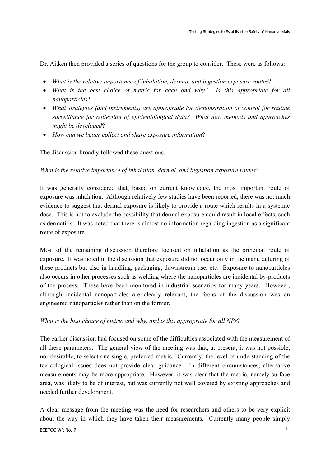Dr. Aitken then provided a series of questions for the group to consider. These were as follows:

- *What is the relative importance of inhalation, dermal, and ingestion exposure routes*?
- *What is the best choice of metric for each and why?* Is this appropriate for all *nanoparticles*?
- *What strategies (and instruments) are appropriate for demonstration of control for routine surveillance for collection of epidemiological data? What new methods and approaches might be developed*?
- *How can we better collect and share exposure information*?

The discussion broadly followed these questions.

## *What is the relative importance of inhalation, dermal, and ingestion exposure routes*?

It was generally considered that, based on current knowledge, the most important route of exposure was inhalation. Although relatively few studies have been reported, there was not much evidence to suggest that dermal exposure is likely to provide a route which results in a systemic dose. This is not to exclude the possibility that dermal exposure could result in local effects, such as dermatitis. It was noted that there is almost no information regarding ingestion as a significant route of exposure.

Most of the remaining discussion therefore focused on inhalation as the principal route of exposure. It was noted in the discussion that exposure did not occur only in the manufacturing of these products but also in handling, packaging, downstream use, etc. Exposure to nanoparticles also occurs in other processes such as welding where the nanoparticles are incidental by-products of the process. These have been monitored in industrial scenarios for many years. However, although incidental nanoparticles are clearly relevant, the focus of the discussion was on engineered nanoparticles rather than on the former.

## *What is the best choice of metric and why, and is this appropriate for all NPs*?

The earlier discussion had focused on some of the difficulties associated with the measurement of all these parameters. The general view of the meeting was that, at present, it was not possible, nor desirable, to select one single, preferred metric. Currently, the level of understanding of the toxicological issues does not provide clear guidance. In different circumstances, alternative measurements may be more appropriate. However, it was clear that the metric, namely surface area, was likely to be of interest, but was currently not well covered by existing approaches and needed further development.

A clear message from the meeting was the need for researchers and others to be very explicit about the way in which they have taken their measurements. Currently many people simply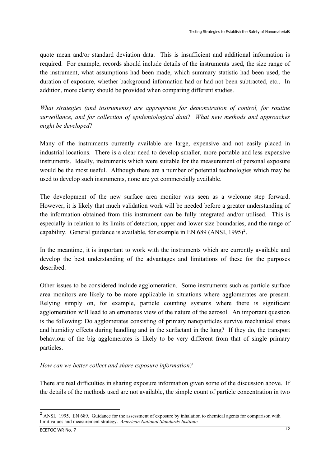<span id="page-14-0"></span>quote mean and/or standard deviation data. This is insufficient and additional information is required. For example, records should include details of the instruments used, the size range of the instrument, what assumptions had been made, which summary statistic had been used, the duration of exposure, whether background information had or had not been subtracted, etc.. In addition, more clarity should be provided when comparing different studies.

*What strategies (and instruments) are appropriate for demonstration of control, for routine surveillance, and for collection of epidemiological data*? *What new methods and approaches might be developed*?

Many of the instruments currently available are large, expensive and not easily placed in industrial locations. There is a clear need to develop smaller, more portable and less expensive instruments. Ideally, instruments which were suitable for the measurement of personal exposure would be the most useful. Although there are a number of potential technologies which may be used to develop such instruments, none are yet commercially available.

The development of the new surface area monitor was seen as a welcome step forward. However, it is likely that much validation work will be needed before a greater understanding of the information obtained from this instrument can be fully integrated and/or utilised. This is especially in relation to its limits of detection, upper and lower size boundaries, and the range of capability. General guidance is available, for example in EN 689 (ANSI, 1995)<sup>[2](#page-14-0)</sup>.

In the meantime, it is important to work with the instruments which are currently available and develop the best understanding of the advantages and limitations of these for the purposes described.

Other issues to be considered include agglomeration. Some instruments such as particle surface area monitors are likely to be more applicable in situations where agglomerates are present. Relying simply on, for example, particle counting systems where there is significant agglomeration will lead to an erroneous view of the nature of the aerosol. An important question is the following: Do agglomerates consisting of primary nanoparticles survive mechanical stress and humidity effects during handling and in the surfactant in the lung? If they do, the transport behaviour of the big agglomerates is likely to be very different from that of single primary particles.

## *How can we better collect and share exposure information?*

There are real difficulties in sharing exposure information given some of the discussion above. If the details of the methods used are not available, the simple count of particle concentration in two

-

<sup>&</sup>lt;sup>2</sup> ANSI. 1995. EN 689. Guidance for the assessment of exposure by inhalation to chemical agents for comparison with limit values and measurement strategy. *American National Standards Institute.*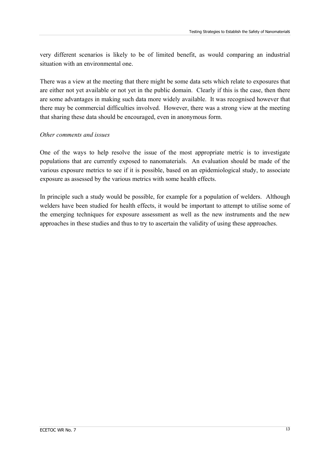very different scenarios is likely to be of limited benefit, as would comparing an industrial situation with an environmental one.

There was a view at the meeting that there might be some data sets which relate to exposures that are either not yet available or not yet in the public domain. Clearly if this is the case, then there are some advantages in making such data more widely available. It was recognised however that there may be commercial difficulties involved. However, there was a strong view at the meeting that sharing these data should be encouraged, even in anonymous form.

## *Other comments and issues*

One of the ways to help resolve the issue of the most appropriate metric is to investigate populations that are currently exposed to nanomaterials. An evaluation should be made of the various exposure metrics to see if it is possible, based on an epidemiological study, to associate exposure as assessed by the various metrics with some health effects.

In principle such a study would be possible, for example for a population of welders. Although welders have been studied for health effects, it would be important to attempt to utilise some of the emerging techniques for exposure assessment as well as the new instruments and the new approaches in these studies and thus to try to ascertain the validity of using these approaches.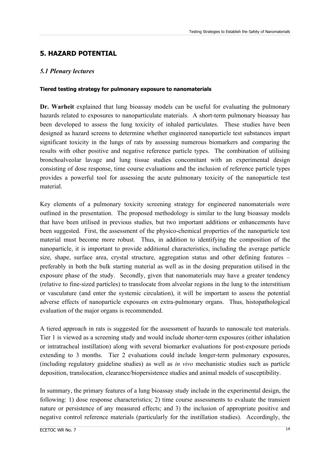# **5. HAZARD POTENTIAL**

## *5.1 Plenary lectures*

## **Tiered testing strategy for pulmonary exposure to nanomaterials**

**Dr. Warheit** explained that lung bioassay models can be useful for evaluating the pulmonary hazards related to exposures to nanoparticulate materials. A short-term pulmonary bioassay has been developed to assess the lung toxicity of inhaled particulates. These studies have been designed as hazard screens to determine whether engineered nanoparticle test substances impart significant toxicity in the lungs of rats by assessing numerous biomarkers and comparing the results with other positive and negative reference particle types. The combination of utilising bronchoalveolar lavage and lung tissue studies concomitant with an experimental design consisting of dose response, time course evaluations and the inclusion of reference particle types provides a powerful tool for assessing the acute pulmonary toxicity of the nanoparticle test material.

Key elements of a pulmonary toxicity screening strategy for engineered nanomaterials were outlined in the presentation. The proposed methodology is similar to the lung bioassay models that have been utilised in previous studies, but two important additions or enhancements have been suggested. First, the assessment of the physico-chemical properties of the nanoparticle test material must become more robust. Thus, in addition to identifying the composition of the nanoparticle, it is important to provide additional characteristics, including the average particle size, shape, surface area, crystal structure, aggregation status and other defining features – preferably in both the bulk starting material as well as in the dosing preparation utilised in the exposure phase of the study. Secondly, given that nanomaterials may have a greater tendency (relative to fine-sized particles) to translocate from alveolar regions in the lung to the interstitium or vasculature (and enter the systemic circulation), it will be important to assess the potential adverse effects of nanoparticle exposures on extra-pulmonary organs. Thus, histopathological evaluation of the major organs is recommended.

A tiered approach in rats is suggested for the assessment of hazards to nanoscale test materials. Tier 1 is viewed as a screening study and would include shorter-term exposures (either inhalation or intratracheal instillation) along with several biomarker evaluations for post-exposure periods extending to 3 months. Tier 2 evaluations could include longer-term pulmonary exposures, (including regulatory guideline studies) as well as *in vivo* mechanistic studies such as particle deposition, translocation, clearance/biopersistence studies and animal models of susceptibility.

In summary, the primary features of a lung bioassay study include in the experimental design, the following: 1) dose response characteristics; 2) time course assessments to evaluate the transient nature or persistence of any measured effects; and 3) the inclusion of appropriate positive and negative control reference materials (particularly for the instillation studies). Accordingly, the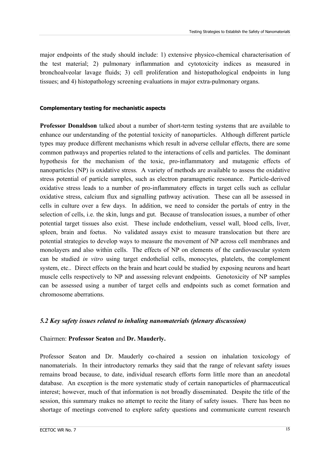major endpoints of the study should include: 1) extensive physico-chemical characterisation of the test material; 2) pulmonary inflammation and cytotoxicity indices as measured in bronchoalveolar lavage fluids; 3) cell proliferation and histopathological endpoints in lung tissues; and 4) histopathology screening evaluations in major extra-pulmonary organs.

#### **Complementary testing for mechanistic aspects**

**Professor Donaldson** talked about a number of short-term testing systems that are available to enhance our understanding of the potential toxicity of nanoparticles. Although different particle types may produce different mechanisms which result in adverse cellular effects, there are some common pathways and properties related to the interactions of cells and particles. The dominant hypothesis for the mechanism of the toxic, pro-inflammatory and mutagenic effects of nanoparticles (NP) is oxidative stress. A variety of methods are available to assess the oxidative stress potential of particle samples, such as electron paramagnetic resonance. Particle-derived oxidative stress leads to a number of pro-inflammatory effects in target cells such as cellular oxidative stress, calcium flux and signalling pathway activation. These can all be assessed in cells in culture over a few days. In addition, we need to consider the portals of entry in the selection of cells, i.e. the skin, lungs and gut. Because of translocation issues, a number of other potential target tissues also exist. These include endothelium, vessel wall, blood cells, liver, spleen, brain and foetus. No validated assays exist to measure translocation but there are potential strategies to develop ways to measure the movement of NP across cell membranes and monolayers and also within cells. The effects of NP on elements of the cardiovascular system can be studied *in vitro* using target endothelial cells, monocytes, platelets, the complement system, etc.. Direct effects on the brain and heart could be studied by exposing neurons and heart muscle cells respectively to NP and assessing relevant endpoints. Genotoxicity of NP samples can be assessed using a number of target cells and endpoints such as comet formation and chromosome aberrations.

## *5.2 Key safety issues related to inhaling nanomaterials (plenary discussion)*

#### Chairmen: **Professor Seaton** and **Dr. Mauderly.**

Professor Seaton and Dr. Mauderly co-chaired a session on inhalation toxicology of nanomaterials. In their introductory remarks they said that the range of relevant safety issues remains broad because, to date, individual research efforts form little more than an anecdotal database. An exception is the more systematic study of certain nanoparticles of pharmaceutical interest; however, much of that information is not broadly disseminated. Despite the title of the session, this summary makes no attempt to recite the litany of safety issues. There has been no shortage of meetings convened to explore safety questions and communicate current research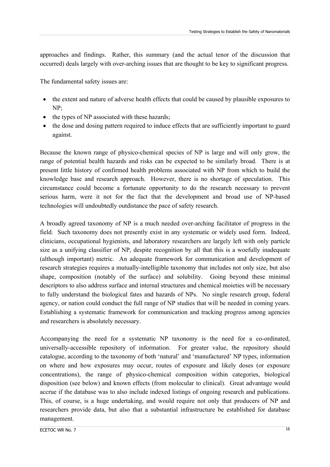approaches and findings. Rather, this summary (and the actual tenor of the discussion that occurred) deals largely with over-arching issues that are thought to be key to significant progress.

The fundamental safety issues are:

- the extent and nature of adverse health effects that could be caused by plausible exposures to NP;
- the types of NP associated with these hazards;
- the dose and dosing pattern required to induce effects that are sufficiently important to guard against.

Because the known range of physico-chemical species of NP is large and will only grow, the range of potential health hazards and risks can be expected to be similarly broad. There is at present little history of confirmed health problems associated with NP from which to build the knowledge base and research approach. However, there is no shortage of speculation. This circumstance could become a fortunate opportunity to do the research necessary to prevent serious harm, were it not for the fact that the development and broad use of NP-based technologies will undoubtedly outdistance the pace of safety research.

A broadly agreed taxonomy of NP is a much needed over-arching facilitator of progress in the field. Such taxonomy does not presently exist in any systematic or widely used form. Indeed, clinicians, occupational hygienists, and laboratory researchers are largely left with only particle size as a unifying classifier of NP, despite recognition by all that this is a woefully inadequate (although important) metric. An adequate framework for communication and development of research strategies requires a mutually-intelligible taxonomy that includes not only size, but also shape, composition (notably of the surface) and solubility. Going beyond these minimal descriptors to also address surface and internal structures and chemical moieties will be necessary to fully understand the biological fates and hazards of NPs. No single research group, federal agency, or nation could conduct the full range of NP studies that will be needed in coming years. Establishing a systematic framework for communication and tracking progress among agencies and researchers is absolutely necessary.

Accompanying the need for a systematic NP taxonomy is the need for a co-ordinated, universally-accessible repository of information. For greater value, the repository should catalogue, according to the taxonomy of both 'natural' and 'manufactured' NP types, information on where and how exposures may occur, routes of exposure and likely doses (or exposure concentrations), the range of physico-chemical composition within categories, biological disposition (see below) and known effects (from molecular to clinical). Great advantage would accrue if the database was to also include indexed listings of ongoing research and publications. This, of course, is a huge undertaking, and would require not only that producers of NP and researchers provide data, but also that a substantial infrastructure be established for database management.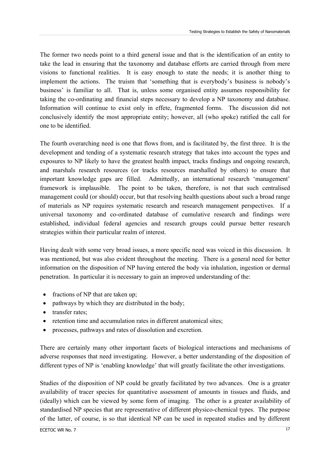The former two needs point to a third general issue and that is the identification of an entity to take the lead in ensuring that the taxonomy and database efforts are carried through from mere visions to functional realities. It is easy enough to state the needs; it is another thing to implement the actions. The truism that 'something that is everybody's business is nobody's business' is familiar to all. That is, unless some organised entity assumes responsibility for taking the co-ordinating and financial steps necessary to develop a NP taxonomy and database. Information will continue to exist only in effete, fragmented forms. The discussion did not conclusively identify the most appropriate entity; however, all (who spoke) ratified the call for one to be identified.

The fourth overarching need is one that flows from, and is facilitated by, the first three. It is the development and tending of a systematic research strategy that takes into account the types and exposures to NP likely to have the greatest health impact, tracks findings and ongoing research, and marshals research resources (or tracks resources marshalled by others) to ensure that important knowledge gaps are filled. Admittedly, an international research 'management' framework is implausible. The point to be taken, therefore, is not that such centralised management could (or should) occur, but that resolving health questions about such a broad range of materials as NP requires systematic research and research management perspectives. If a universal taxonomy and co-ordinated database of cumulative research and findings were established, individual federal agencies and research groups could pursue better research strategies within their particular realm of interest.

Having dealt with some very broad issues, a more specific need was voiced in this discussion. It was mentioned, but was also evident throughout the meeting. There is a general need for better information on the disposition of NP having entered the body via inhalation, ingestion or dermal penetration. In particular it is necessary to gain an improved understanding of the:

- fractions of NP that are taken up;
- pathways by which they are distributed in the body;
- transfer rates;
- retention time and accumulation rates in different anatomical sites;
- processes, pathways and rates of dissolution and excretion.

There are certainly many other important facets of biological interactions and mechanisms of adverse responses that need investigating. However, a better understanding of the disposition of different types of NP is 'enabling knowledge' that will greatly facilitate the other investigations.

Studies of the disposition of NP could be greatly facilitated by two advances. One is a greater availability of tracer species for quantitative assessment of amounts in tissues and fluids, and (ideally) which can be viewed by some form of imaging. The other is a greater availability of standardised NP species that are representative of different physico-chemical types. The purpose of the latter, of course, is so that identical NP can be used in repeated studies and by different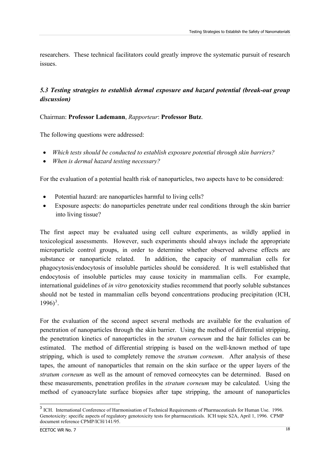<span id="page-20-0"></span>researchers. These technical facilitators could greatly improve the systematic pursuit of research issues.

# *5.3 Testing strategies to establish dermal exposure and hazard potential (break-out group discussion)*

Chairman: **Professor Lademann**, *Rapporteur*: **Professor Butz**.

The following questions were addressed:

- *Which tests should be conducted to establish exposure potential through skin barriers?*
- *When is dermal hazard testing necessary?*

For the evaluation of a potential health risk of nanoparticles, two aspects have to be considered:

- Potential hazard: are nanoparticles harmful to living cells?
- Exposure aspects: do nanoparticles penetrate under real conditions through the skin barrier into living tissue?

The first aspect may be evaluated using cell culture experiments, as wildly applied in toxicological assessments. However, such experiments should always include the appropriate microparticle control groups, in order to determine whether observed adverse effects are substance or nanoparticle related. In addition, the capacity of mammalian cells for phagocytosis/endocytosis of insoluble particles should be considered. It is well established that endocytosis of insoluble particles may cause toxicity in mammalian cells. For example, international guidelines of *in vitro* genotoxicity studies recommend that poorly soluble substances should not be tested in mammalian cells beyond concentrations producing precipitation (ICH,  $1996$ <sup>[3](#page-20-0)</sup>.

For the evaluation of the second aspect several methods are available for the evaluation of penetration of nanoparticles through the skin barrier. Using the method of differential stripping, the penetration kinetics of nanoparticles in the *stratum corneum* and the hair follicles can be estimated. The method of differential stripping is based on the well-known method of tape stripping, which is used to completely remove the *stratum corneum*. After analysis of these tapes, the amount of nanoparticles that remain on the skin surface or the upper layers of the *stratum corneum* as well as the amount of removed corneocytes can be determined. Based on these measurements, penetration profiles in the *stratum corneum* may be calculated. Using the method of cyanoacrylate surface biopsies after tape stripping, the amount of nanoparticles

<u>.</u>

<sup>&</sup>lt;sup>3</sup> ICH. International Conference of Harmonisation of Technical Requirements of Pharmaceuticals for Human Use. 1996. Genotoxicity: specific aspects of regulatory genotoxicity tests for pharmaceuticals. ICH topic S2A, April 1, 1996. CPMP document reference CPMP/ICH/141/95.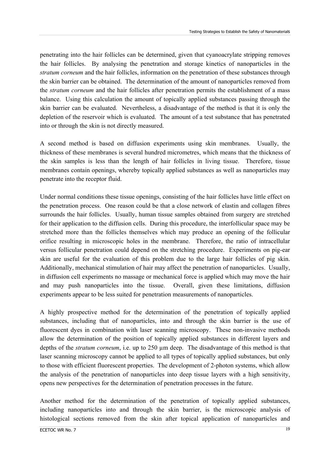penetrating into the hair follicles can be determined, given that cyanoacrylate stripping removes the hair follicles. By analysing the penetration and storage kinetics of nanoparticles in the *stratum corneum* and the hair follicles, information on the penetration of these substances through the skin barrier can be obtained. The determination of the amount of nanoparticles removed from the *stratum corneum* and the hair follicles after penetration permits the establishment of a mass balance. Using this calculation the amount of topically applied substances passing through the skin barrier can be evaluated. Nevertheless, a disadvantage of the method is that it is only the depletion of the reservoir which is evaluated. The amount of a test substance that has penetrated into or through the skin is not directly measured.

A second method is based on diffusion experiments using skin membranes. Usually, the thickness of these membranes is several hundred micrometres, which means that the thickness of the skin samples is less than the length of hair follicles in living tissue. Therefore, tissue membranes contain openings, whereby topically applied substances as well as nanoparticles may penetrate into the receptor fluid.

Under normal conditions these tissue openings, consisting of the hair follicles have little effect on the penetration process. One reason could be that a close network of elastin and collagen fibres surrounds the hair follicles. Usually, human tissue samples obtained from surgery are stretched for their application to the diffusion cells. During this procedure, the interfollicular space may be stretched more than the follicles themselves which may produce an opening of the follicular orifice resulting in microscopic holes in the membrane. Therefore, the ratio of intracellular versus follicular penetration could depend on the stretching procedure. Experiments on pig-ear skin are useful for the evaluation of this problem due to the large hair follicles of pig skin. Additionally, mechanical stimulation of hair may affect the penetration of nanoparticles. Usually, in diffusion cell experiments no massage or mechanical force is applied which may move the hair and may push nanoparticles into the tissue. Overall, given these limitations, diffusion experiments appear to be less suited for penetration measurements of nanoparticles.

A highly prospective method for the determination of the penetration of topically applied substances, including that of nanoparticles, into and through the skin barrier is the use of fluorescent dyes in combination with laser scanning microscopy. These non-invasive methods allow the determination of the position of topically applied substances in different layers and depths of the *stratum corneum*, i.e. up to 250 µm deep. The disadvantage of this method is that laser scanning microscopy cannot be applied to all types of topically applied substances, but only to those with efficient fluorescent properties. The development of 2-photon systems, which allow the analysis of the penetration of nanoparticles into deep tissue layers with a high sensitivity, opens new perspectives for the determination of penetration processes in the future.

Another method for the determination of the penetration of topically applied substances, including nanoparticles into and through the skin barrier, is the microscopic analysis of histological sections removed from the skin after topical application of nanoparticles and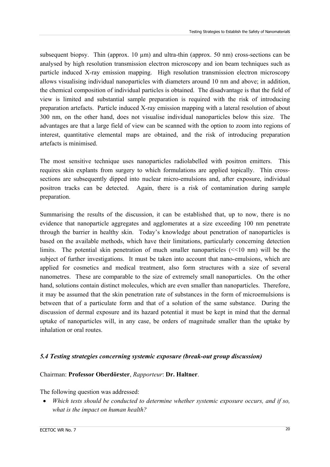subsequent biopsy. Thin (approx.  $10 \mu m$ ) and ultra-thin (approx.  $50 \mu m$ ) cross-sections can be analysed by high resolution transmission electron microscopy and ion beam techniques such as particle induced X-ray emission mapping. High resolution transmission electron microscopy allows visualising individual nanoparticles with diameters around 10 nm and above; in addition, the chemical composition of individual particles is obtained. The disadvantage is that the field of view is limited and substantial sample preparation is required with the risk of introducing preparation artefacts. Particle induced X-ray emission mapping with a lateral resolution of about 300 nm, on the other hand, does not visualise individual nanoparticles below this size. The advantages are that a large field of view can be scanned with the option to zoom into regions of interest, quantitative elemental maps are obtained, and the risk of introducing preparation artefacts is minimised.

The most sensitive technique uses nanoparticles radiolabelled with positron emitters. This requires skin explants from surgery to which formulations are applied topically. Thin crosssections are subsequently dipped into nuclear micro-emulsions and, after exposure, individual positron tracks can be detected. Again, there is a risk of contamination during sample preparation.

Summarising the results of the discussion, it can be established that, up to now, there is no evidence that nanoparticle aggregates and agglomerates at a size exceeding 100 nm penetrate through the barrier in healthy skin. Today's knowledge about penetration of nanoparticles is based on the available methods, which have their limitations, particularly concerning detection limits. The potential skin penetration of much smaller nanoparticles  $\ll 10$  nm) will be the subject of further investigations. It must be taken into account that nano-emulsions, which are applied for cosmetics and medical treatment, also form structures with a size of several nanometres. These are comparable to the size of extremely small nanoparticles. On the other hand, solutions contain distinct molecules, which are even smaller than nanoparticles. Therefore, it may be assumed that the skin penetration rate of substances in the form of microemulsions is between that of a particulate form and that of a solution of the same substance. During the discussion of dermal exposure and its hazard potential it must be kept in mind that the dermal uptake of nanoparticles will, in any case, be orders of magnitude smaller than the uptake by inhalation or oral routes.

## *5.4 Testing strategies concerning systemic exposure (break-out group discussion)*

#### Chairman: **Professor Oberdörster**, *Rapporteur*: **Dr. Haltner**.

The following question was addressed:

• *Which tests should be conducted to determine whether systemic exposure occurs, and if so, what is the impact on human health?*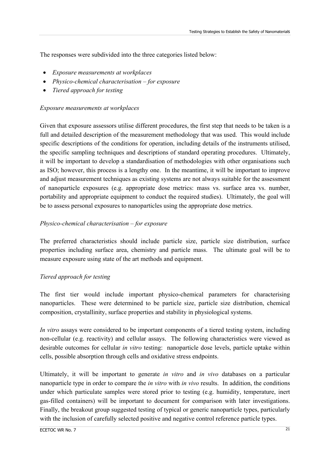The responses were subdivided into the three categories listed below:

- *Exposure measurements at workplaces*
- *Physico-chemical characterisation for exposure*
- *Tiered approach for testing*

## *Exposure measurements at workplaces*

Given that exposure assessors utilise different procedures, the first step that needs to be taken is a full and detailed description of the measurement methodology that was used. This would include specific descriptions of the conditions for operation, including details of the instruments utilised, the specific sampling techniques and descriptions of standard operating procedures. Ultimately, it will be important to develop a standardisation of methodologies with other organisations such as ISO; however, this process is a lengthy one. In the meantime, it will be important to improve and adjust measurement techniques as existing systems are not always suitable for the assessment of nanoparticle exposures (e.g. appropriate dose metrics: mass vs. surface area vs. number, portability and appropriate equipment to conduct the required studies). Ultimately, the goal will be to assess personal exposures to nanoparticles using the appropriate dose metrics.

## *Physico-chemical characterisation – for exposure*

The preferred characteristics should include particle size, particle size distribution, surface properties including surface area, chemistry and particle mass. The ultimate goal will be to measure exposure using state of the art methods and equipment.

## *Tiered approach for testing*

The first tier would include important physico-chemical parameters for characterising nanoparticles. These were determined to be particle size, particle size distribution, chemical composition, crystallinity, surface properties and stability in physiological systems.

*In vitro* assays were considered to be important components of a tiered testing system, including non-cellular (e.g. reactivity) and cellular assays. The following characteristics were viewed as desirable outcomes for cellular *in vitro* testing: nanoparticle dose levels, particle uptake within cells, possible absorption through cells and oxidative stress endpoints.

Ultimately, it will be important to generate *in vitro* and *in vivo* databases on a particular nanoparticle type in order to compare the *in vitro* with *in vivo* results. In addition, the conditions under which particulate samples were stored prior to testing (e.g. humidity, temperature, inert gas-filled containers) will be important to document for comparison with later investigations. Finally, the breakout group suggested testing of typical or generic nanoparticle types, particularly with the inclusion of carefully selected positive and negative control reference particle types.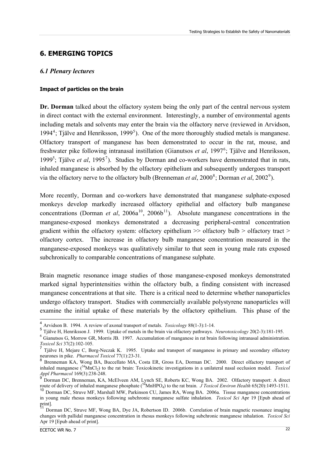# <span id="page-24-0"></span>**6. EMERGING TOPICS**

## *6.1 Plenary lectures*

#### **Impact of particles on the brain**

**Dr. Dorman** talked about the olfactory system being the only part of the central nervous system in direct contact with the external environment. Interestingly, a number of environmental agents including metals and solvents may enter the brain via the olfactory nerve (reviewed in Arvidson, 199[4](#page-24-0)<sup>4</sup>; Tjälve and Henriksson, 1999<sup>[5](#page-24-0)</sup>). One of the more thoroughly studied metals is manganese. Olfactory transport of manganese has been demonstrated to occur in the rat, mouse, and freshwater pike following intranasal instillation (Gianutsos *et al*, 1997<sup>[6](#page-24-0)</sup>; Tjälve and Henriksson, 1999<sup>5</sup>; Tjälve *et al*, 1995<sup>[7](#page-24-0)</sup>). Studies by Dorman and co-workers have demonstrated that in rats, inhaled manganese is absorbed by the olfactory epithelium and subsequently undergoes transport via the olfactory nerve to the olfactory bulb (Brenneman *et al*,  $2000^8$  $2000^8$ ; Dorman *et al*,  $2002^9$  $2002^9$ ).

More recently, Dorman and co-workers have demonstrated that manganese sulphate-exposed monkeys develop markedly increased olfactory epithelial and olfactory bulb manganese concentrations (Dorman *et al.* 2006 $a^{10}$  $a^{10}$  $a^{10}$ , 2006 $b^{11}$  $b^{11}$  $b^{11}$ ). Absolute manganese concentrations in the manganese-exposed monkeys demonstrated a decreasing peripheral-central concentration gradient within the olfactory system: olfactory epithelium  $\gg$  olfactory bulb  $>$  olfactory tract  $>$ olfactory cortex. The increase in olfactory bulb manganese concentration measured in the manganese-exposed monkeys was qualitatively similar to that seen in young male rats exposed subchronically to comparable concentrations of manganese sulphate.

Brain magnetic resonance image studies of those manganese-exposed monkeys demonstrated marked signal hyperintensities within the olfactory bulb, a finding consistent with increased manganese concentrations at that site. There is a critical need to determine whether nanoparticles undergo olfactory transport. Studies with commercially available polystyrene nanoparticles will examine the initial uptake of these materials by the olfactory epithelium. This phase of the

<u>.</u>

<sup>4</sup> Arvidson B. 1994. A review of axonal transport of metals. *Toxicology* 88(1-3):1-14.

 $^5$  Tjälve H, Henriksson J. 1999. Uptake of metals in the brain via olfactory pathways. Neurotoxicology 20(2-3):181-195.<br><sup>6</sup> Gianutsos G, Morrow GR, Morris JB. 1997. Accumulation of manganese in rat brain following intra

*Toxicol Sci* 37(2):102-105.<br><sup>7</sup> Tjälve H, Mejare C, Borg-Neczak K. 1995. Uptake and transport of manganese in primary and secondary olfactory neurones in pike. *Pharmacol Toxicol* 77(1):23-31.

Brenneman KA, Wong BA, Buccellato MA, Costa ER, Gross EA, Dorman DC. 2000. Direct olfactory transport of inhaled manganese  $(^{54}$ MnCl<sub>2</sub>) to the rat brain: Toxicokinetic investigations in a unilateral nasal occlusion model. *Toxicol Appl Pharmacol* 169(3):238-248.

<sup>&</sup>lt;sup>9</sup> Dorman DC, Brenneman, KA, McElveen AM, Lynch SE, Roberts KC, Wong BA. 2002. Olfactory transport: A direct route of delivery of inhaled manganese phosphate (<sup>54</sup>MnHPO<sub>4</sub>) to the rat brain. *J Toxicol Environ Health* 65(

<sup>&</sup>lt;sup>10</sup> Dorman DC, Struve MF, Marshall MW, Parkinson CU, James RA, Wong BA. 2006a. Tissue manganese concentrations in young male rhesus monkeys following subchronic manganese sulfate inhalation. *Toxicol Sci* Apr 19 [Epub ahead of print].

<sup>11</sup> Dorman DC, Struve MF, Wong BA, Dye JA, Robertson ID. 2006b. Correlation of brain magnetic resonance imaging changes with pallidal manganese concentration in rhesus monkeys following subchronic manganese inhalation. *Toxicol Sci* Apr 19 [Epub ahead of print].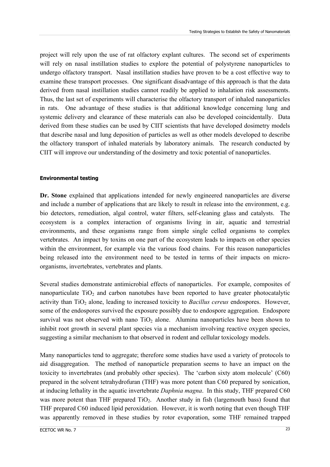project will rely upon the use of rat olfactory explant cultures. The second set of experiments will rely on nasal instillation studies to explore the potential of polystyrene nanoparticles to undergo olfactory transport. Nasal instillation studies have proven to be a cost effective way to examine these transport processes. One significant disadvantage of this approach is that the data derived from nasal instillation studies cannot readily be applied to inhalation risk assessments. Thus, the last set of experiments will characterise the olfactory transport of inhaled nanoparticles in rats. One advantage of these studies is that additional knowledge concerning lung and systemic delivery and clearance of these materials can also be developed coincidentally. Data derived from these studies can be used by CIIT scientists that have developed dosimetry models that describe nasal and lung deposition of particles as well as other models developed to describe the olfactory transport of inhaled materials by laboratory animals. The research conducted by CIIT will improve our understanding of the dosimetry and toxic potential of nanoparticles.

#### **Environmental testing**

**Dr. Stone** explained that applications intended for newly engineered nanoparticles are diverse and include a number of applications that are likely to result in release into the environment, e.g. bio detectors, remediation, algal control, water filters, self-cleaning glass and catalysts. The ecosystem is a complex interaction of organisms living in air, aquatic and terrestrial environments, and these organisms range from simple single celled organisms to complex vertebrates. An impact by toxins on one part of the ecosystem leads to impacts on other species within the environment, for example via the various food chains. For this reason nanoparticles being released into the environment need to be tested in terms of their impacts on microorganisms, invertebrates, vertebrates and plants.

Several studies demonstrate antimicrobial effects of nanoparticles. For example, composites of nanoparticulate  $TiO<sub>2</sub>$  and carbon nanotubes have been reported to have greater photocatalytic activity than TiO<sub>2</sub> alone, leading to increased toxicity to *Bacillus cereus* endospores. However, some of the endospores survived the exposure possibly due to endospore aggregation. Endospore survival was not observed with nano  $TiO<sub>2</sub>$  alone. Alumina nanoparticles have been shown to inhibit root growth in several plant species via a mechanism involving reactive oxygen species, suggesting a similar mechanism to that observed in rodent and cellular toxicology models.

Many nanoparticles tend to aggregate; therefore some studies have used a variety of protocols to aid disaggregation. The method of nanoparticle preparation seems to have an impact on the toxicity to invertebrates (and probably other species). The 'carbon sixty atom molecule' (C60) prepared in the solvent tetrahydrofuran (THF) was more potent than C60 prepared by sonication, at inducing lethality in the aquatic invertebrate *Daphnia magna*. In this study, THF prepared C60 was more potent than THF prepared  $TiO<sub>2</sub>$ . Another study in fish (largemouth bass) found that THF prepared C60 induced lipid peroxidation. However, it is worth noting that even though THF was apparently removed in these studies by rotor evaporation, some THF remained trapped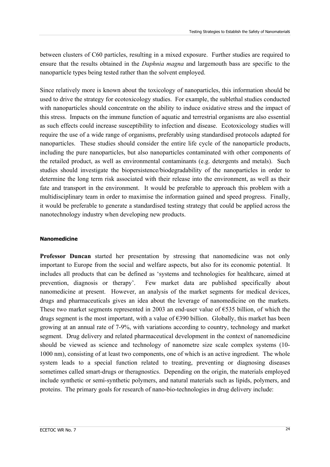between clusters of C60 particles, resulting in a mixed exposure. Further studies are required to ensure that the results obtained in the *Daphnia magna* and largemouth bass are specific to the nanoparticle types being tested rather than the solvent employed.

Since relatively more is known about the toxicology of nanoparticles, this information should be used to drive the strategy for ecotoxicology studies. For example, the sublethal studies conducted with nanoparticles should concentrate on the ability to induce oxidative stress and the impact of this stress. Impacts on the immune function of aquatic and terrestrial organisms are also essential as such effects could increase susceptibility to infection and disease. Ecotoxicology studies will require the use of a wide range of organisms, preferably using standardised protocols adapted for nanoparticles. These studies should consider the entire life cycle of the nanoparticle products, including the pure nanoparticles, but also nanoparticles contaminated with other components of the retailed product, as well as environmental contaminants (e.g. detergents and metals). Such studies should investigate the biopersistence/biodegradability of the nanoparticles in order to determine the long term risk associated with their release into the environment, as well as their fate and transport in the environment. It would be preferable to approach this problem with a multidisciplinary team in order to maximise the information gained and speed progress. Finally, it would be preferable to generate a standardised testing strategy that could be applied across the nanotechnology industry when developing new products.

#### **Nanomedicine**

**Professor Duncan** started her presentation by stressing that nanomedicine was not only important to Europe from the social and welfare aspects, but also for its economic potential. It includes all products that can be defined as 'systems and technologies for healthcare, aimed at prevention, diagnosis or therapy'. Few market data are published specifically about nanomedicine at present. However, an analysis of the market segments for medical devices, drugs and pharmaceuticals gives an idea about the leverage of nanomedicine on the markets. These two market segments represented in 2003 an end-user value of €535 billion, of which the drugs segment is the most important, with a value of €390 billion. Globally, this market has been growing at an annual rate of 7-9%, with variations according to country, technology and market segment. Drug delivery and related pharmaceutical development in the context of nanomedicine should be viewed as science and technology of nanometre size scale complex systems (10- 1000 nm), consisting of at least two components, one of which is an active ingredient. The whole system leads to a special function related to treating, preventing or diagnosing diseases sometimes called smart-drugs or theragnostics. Depending on the origin, the materials employed include synthetic or semi-synthetic polymers, and natural materials such as lipids, polymers, and proteins. The primary goals for research of nano-bio-technologies in drug delivery include: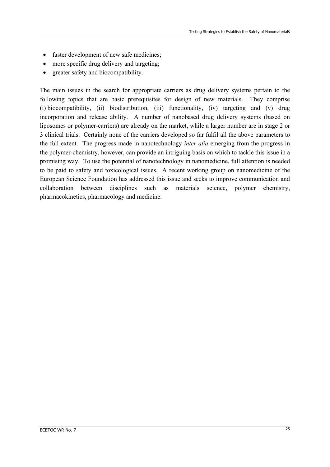- faster development of new safe medicines;
- more specific drug delivery and targeting;
- greater safety and biocompatibility.

The main issues in the search for appropriate carriers as drug delivery systems pertain to the following topics that are basic prerequisites for design of new materials. They comprise (i) biocompatibility, (ii) biodistribution, (iii) functionality, (iv) targeting and (v) drug incorporation and release ability. A number of nanobased drug delivery systems (based on liposomes or polymer-carriers) are already on the market, while a larger number are in stage 2 or 3 clinical trials. Certainly none of the carriers developed so far fulfil all the above parameters to the full extent. The progress made in nanotechnology *inter alia* emerging from the progress in the polymer-chemistry, however, can provide an intriguing basis on which to tackle this issue in a promising way. To use the potential of nanotechnology in nanomedicine, full attention is needed to be paid to safety and toxicological issues. A recent working group on nanomedicine of the European Science Foundation has addressed this issue and seeks to improve communication and collaboration between disciplines such as materials science, polymer chemistry, pharmacokinetics, pharmacology and medicine.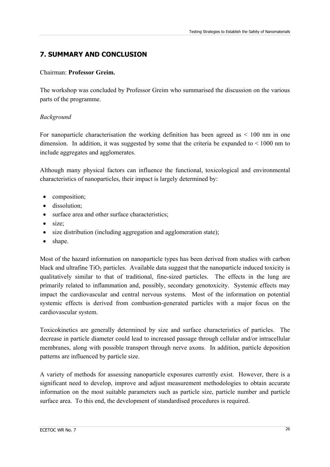# **7. SUMMARY AND CONCLUSION**

## Chairman: **Professor Greim.**

The workshop was concluded by Professor Greim who summarised the discussion on the various parts of the programme.

# *Background*

For nanoparticle characterisation the working definition has been agreed as  $\leq 100$  nm in one dimension. In addition, it was suggested by some that the criteria be expanded to  $\leq 1000$  nm to include aggregates and agglomerates.

Although many physical factors can influence the functional, toxicological and environmental characteristics of nanoparticles, their impact is largely determined by:

- composition;
- dissolution;
- surface area and other surface characteristics;
- $\bullet$  size;
- size distribution (including aggregation and agglomeration state);
- shape.

Most of the hazard information on nanoparticle types has been derived from studies with carbon black and ultrafine  $TiO<sub>2</sub>$  particles. Available data suggest that the nanoparticle induced toxicity is qualitatively similar to that of traditional, fine-sized particles. The effects in the lung are primarily related to inflammation and, possibly, secondary genotoxicity. Systemic effects may impact the cardiovascular and central nervous systems. Most of the information on potential systemic effects is derived from combustion-generated particles with a major focus on the cardiovascular system.

Toxicokinetics are generally determined by size and surface characteristics of particles. The decrease in particle diameter could lead to increased passage through cellular and/or intracellular membranes, along with possible transport through nerve axons. In addition, particle deposition patterns are influenced by particle size.

A variety of methods for assessing nanoparticle exposures currently exist. However, there is a significant need to develop, improve and adjust measurement methodologies to obtain accurate information on the most suitable parameters such as particle size, particle number and particle surface area. To this end, the development of standardised procedures is required.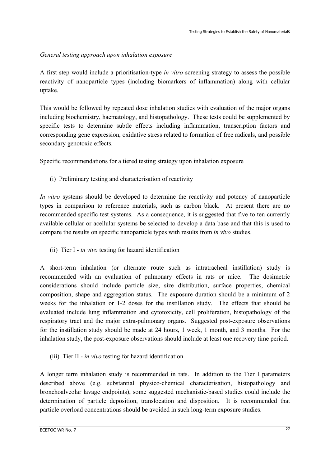## *General testing approach upon inhalation exposure*

A first step would include a prioritisation-type *in vitro* screening strategy to assess the possible reactivity of nanoparticle types (including biomarkers of inflammation) along with cellular uptake.

This would be followed by repeated dose inhalation studies with evaluation of the major organs including biochemistry, haematology, and histopathology. These tests could be supplemented by specific tests to determine subtle effects including inflammation, transcription factors and corresponding gene expression, oxidative stress related to formation of free radicals, and possible secondary genotoxic effects.

Specific recommendations for a tiered testing strategy upon inhalation exposure

(i) Preliminary testing and characterisation of reactivity

*In vitro* systems should be developed to determine the reactivity and potency of nanoparticle types in comparison to reference materials, such as carbon black. At present there are no recommended specific test systems. As a consequence, it is suggested that five to ten currently available cellular or acellular systems be selected to develop a data base and that this is used to compare the results on specific nanoparticle types with results from *in vivo* studies.

(ii) Tier I - *in vivo* testing for hazard identification

A short-term inhalation (or alternate route such as intratracheal instillation) study is recommended with an evaluation of pulmonary effects in rats or mice. The dosimetric considerations should include particle size, size distribution, surface properties, chemical composition, shape and aggregation status. The exposure duration should be a minimum of 2 weeks for the inhalation or 1-2 doses for the instillation study. The effects that should be evaluated include lung inflammation and cytotoxicity, cell proliferation, histopathology of the respiratory tract and the major extra-pulmonary organs. Suggested post-exposure observations for the instillation study should be made at 24 hours, 1 week, 1 month, and 3 months. For the inhalation study, the post-exposure observations should include at least one recovery time period.

(iii) Tier II - *in vivo* testing for hazard identification

A longer term inhalation study is recommended in rats. In addition to the Tier I parameters described above (e.g. substantial physico-chemical characterisation, histopathology and bronchoalveolar lavage endpoints), some suggested mechanistic-based studies could include the determination of particle deposition, translocation and disposition. It is recommended that particle overload concentrations should be avoided in such long-term exposure studies.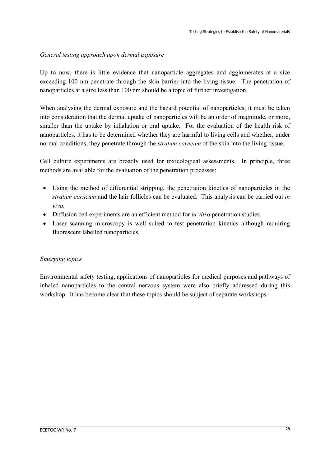## *General testing approach upon dermal exposure*

Up to now, there is little evidence that nanoparticle aggregates and agglomerates at a size exceeding 100 nm penetrate through the skin barrier into the living tissue. The penetration of nanoparticles at a size less than 100 nm should be a topic of further investigation.

When analysing the dermal exposure and the hazard potential of nanoparticles, it must be taken into consideration that the dermal uptake of nanoparticles will be an order of magnitude, or more, smaller than the uptake by inhalation or oral uptake. For the evaluation of the health risk of nanoparticles, it has to be determined whether they are harmful to living cells and whether, under normal conditions, they penetrate through the *stratum corneum* of the skin into the living tissue.

Cell culture experiments are broadly used for toxicological assessments. In principle, three methods are available for the evaluation of the penetration processes:

- Using the method of differential stripping, the penetration kinetics of nanoparticles in the *stratum corneum* and the hair follicles can be evaluated. This analysis can be carried out *in vivo*.
- Diffusion cell experiments are an efficient method for *in vitro* penetration studies.
- Laser scanning microscopy is well suited to test penetration kinetics although requiring fluorescent labelled nanoparticles.

## *Emerging topics*

Environmental safety testing, applications of nanoparticles for medical purposes and pathways of inhaled nanoparticles to the central nervous system were also briefly addressed during this workshop. It has become clear that these topics should be subject of separate workshops.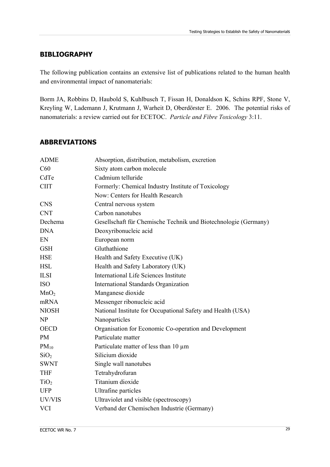# **BIBLIOGRAPHY**

The following publication contains an extensive list of publications related to the human health and environmental impact of nanomaterials:

Borm JA, Robbins D, Haubold S, Kuhlbusch T, Fissan H, Donaldson K, Schins RPF, Stone V, Kreyling W, Lademann J, Krutmann J, Warheit D, Oberdörster E. 2006. The potential risks of nanomaterials: a review carried out for ECETOC. *Particle and Fibre Toxicology* 3:11.

# **ABBREVIATIONS**

| <b>ADME</b>      | Absorption, distribution, metabolism, excretion                 |
|------------------|-----------------------------------------------------------------|
| C60              | Sixty atom carbon molecule                                      |
| CdTe             | Cadmium telluride                                               |
| <b>CIIT</b>      | Formerly: Chemical Industry Institute of Toxicology             |
|                  | Now: Centers for Health Research                                |
| <b>CNS</b>       | Central nervous system                                          |
| <b>CNT</b>       | Carbon nanotubes                                                |
| Dechema          | Gesellschaft für Chemische Technik und Biotechnologie (Germany) |
| <b>DNA</b>       | Deoxyribonucleic acid                                           |
| EN               | European norm                                                   |
| <b>GSH</b>       | Gluthathione                                                    |
| <b>HSE</b>       | Health and Safety Executive (UK)                                |
| <b>HSL</b>       | Health and Safety Laboratory (UK)                               |
| <b>ILSI</b>      | International Life Sciences Institute                           |
| <b>ISO</b>       | International Standards Organization                            |
| MnO <sub>2</sub> | Manganese dioxide                                               |
| mRNA             | Messenger ribonucleic acid                                      |
| <b>NIOSH</b>     | National Institute for Occupational Safety and Health (USA)     |
| <b>NP</b>        | Nanoparticles                                                   |
| <b>OECD</b>      | Organisation for Economic Co-operation and Development          |
| <b>PM</b>        | Particulate matter                                              |
| $PM_{10}$        | Particulate matter of less than 10 µm                           |
| SiO <sub>2</sub> | Silicium dioxide                                                |
| <b>SWNT</b>      | Single wall nanotubes                                           |
| <b>THF</b>       | Tetrahydrofuran                                                 |
| TiO <sub>2</sub> | Titanium dioxide                                                |
| <b>UFP</b>       | Ultrafine particles                                             |
| UV/VIS           | Ultraviolet and visible (spectroscopy)                          |
| <b>VCI</b>       | Verband der Chemischen Industrie (Germany)                      |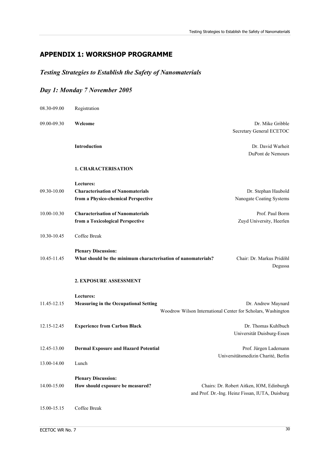# **APPENDIX 1: WORKSHOP PROGRAMME**

# *Testing Strategies to Establish the Safety of Nanomaterials*

# *Day 1: Monday 7 November 2005*

| 08.30-09.00 | Registration                                                                                 |                                                                                              |
|-------------|----------------------------------------------------------------------------------------------|----------------------------------------------------------------------------------------------|
| 09.00-09.30 | Welcome                                                                                      | Dr. Mike Gribble<br>Secretary General ECETOC                                                 |
|             | Introduction                                                                                 | Dr. David Warheit<br>DuPont de Nemours                                                       |
|             | <b>1. CHARACTERISATION</b>                                                                   |                                                                                              |
| 09.30-10.00 | Lectures:<br><b>Characterisation of Nanomaterials</b><br>from a Physico-chemical Perspective | Dr. Stephan Haubold<br>Nanogate Coating Systems                                              |
| 10.00-10.30 | <b>Characterisation of Nanomaterials</b><br>from a Toxicological Perspective                 | Prof. Paul Borm<br>Zuyd University, Heerlen                                                  |
| 10.30-10.45 | Coffee Break                                                                                 |                                                                                              |
| 10.45-11.45 | <b>Plenary Discussion:</b><br>What should be the minimum characterisation of nanomaterials?  | Chair: Dr. Markus Pridöhl<br>Degussa                                                         |
|             | 2. EXPOSURE ASSESSMENT                                                                       |                                                                                              |
| 11.45-12.15 | Lectures:<br><b>Measuring in the Occupational Setting</b>                                    | Dr. Andrew Maynard<br>Woodrow Wilson International Center for Scholars, Washington           |
| 12.15-12.45 | <b>Experience from Carbon Black</b>                                                          | Dr. Thomas Kuhlbuch<br>Universität Duisburg-Essen                                            |
| 12.45-13.00 | <b>Dermal Exposure and Hazard Potential</b>                                                  | Prof. Jürgen Lademann<br>Universitätsmedizin Charité, Berlin                                 |
| 13.00-14.00 | Lunch                                                                                        |                                                                                              |
| 14.00-15.00 | <b>Plenary Discussion:</b><br>How should exposure be measured?                               | Chairs: Dr. Robert Aitken, IOM, Edinburgh<br>and Prof. Dr.-Ing. Heinz Fissan, IUTA, Duisburg |
| 15.00-15.15 | Coffee Break                                                                                 |                                                                                              |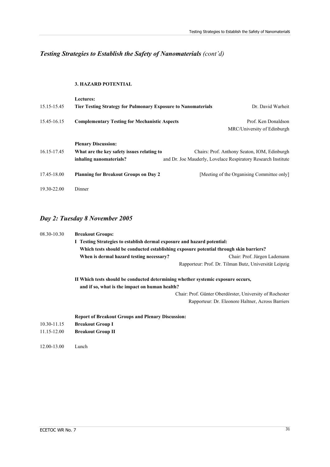# *Testing Strategies to Establish the Safety of Nanomaterials (cont'd)*

#### **3. HAZARD POTENTIAL**

| 15.15-15.45 | <b>Lectures:</b><br><b>Tier Testing Strategy for Pulmonary Exposure to Nanomaterials</b> | Dr. David Warheit                                             |
|-------------|------------------------------------------------------------------------------------------|---------------------------------------------------------------|
| 15.45-16.15 | <b>Complementary Testing for Mechanistic Aspects</b>                                     | Prof. Ken Donaldson                                           |
|             |                                                                                          | MRC/University of Edinburgh                                   |
|             | <b>Plenary Discussion:</b>                                                               |                                                               |
| 16.15-17.45 | What are the key safety issues relating to                                               | Chairs: Prof. Anthony Seaton, IOM, Edinburgh                  |
|             | inhaling nanomaterials?                                                                  | and Dr. Joe Mauderly, Lovelace Respiratory Research Institute |
| 17.45-18.00 | <b>Planning for Breakout Groups on Day 2</b>                                             | [Meeting of the Organising Committee only]                    |
| 19.30-22.00 | Dinner                                                                                   |                                                               |

# *Day 2: Tuesday 8 November 2005*

| 08.30-10.30 | <b>Breakout Groups:</b><br>I Testing Strategies to establish dermal exposure and hazard potential:<br>Which tests should be conducted establishing exposure potential through skin barriers?<br>When is dermal hazard testing necessary?<br>Chair: Prof. Jürgen Lademann |  |  |
|-------------|--------------------------------------------------------------------------------------------------------------------------------------------------------------------------------------------------------------------------------------------------------------------------|--|--|
|             |                                                                                                                                                                                                                                                                          |  |  |
|             |                                                                                                                                                                                                                                                                          |  |  |
|             |                                                                                                                                                                                                                                                                          |  |  |
|             | Rapporteur: Prof. Dr. Tilman Butz, Universität Leipzig                                                                                                                                                                                                                   |  |  |
|             | II Which tests should be conducted determining whether systemic exposure occurs,                                                                                                                                                                                         |  |  |
|             | and if so, what is the impact on human health?                                                                                                                                                                                                                           |  |  |
|             | Chair: Prof. Günter Oberdörster, University of Rochester                                                                                                                                                                                                                 |  |  |
|             | Rapporteur: Dr. Eleonore Haltner, Across Barriers                                                                                                                                                                                                                        |  |  |
|             | <b>Report of Breakout Groups and Plenary Discussion:</b>                                                                                                                                                                                                                 |  |  |
| 10.30-11.15 | <b>Breakout Group I</b>                                                                                                                                                                                                                                                  |  |  |
| 11.15-12.00 | <b>Breakout Group II</b>                                                                                                                                                                                                                                                 |  |  |
| 12.00-13.00 | Lunch                                                                                                                                                                                                                                                                    |  |  |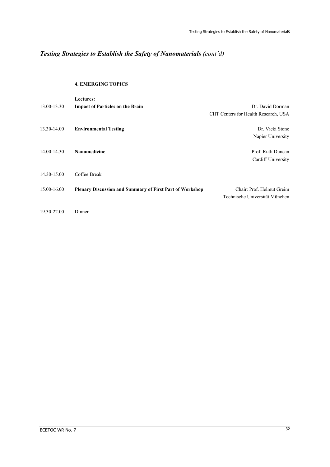# *Testing Strategies to Establish the Safety of Nanomaterials (cont'd)*

#### **4. EMERGING TOPICS**

|             | <b>Lectures:</b>                                                |                                       |
|-------------|-----------------------------------------------------------------|---------------------------------------|
| 13.00-13.30 | <b>Impact of Particles on the Brain</b>                         | Dr. David Dorman                      |
|             |                                                                 | CIIT Centers for Health Research, USA |
| 13.30-14.00 | <b>Environmental Testing</b>                                    | Dr. Vicki Stone                       |
|             |                                                                 | Napier University                     |
| 14.00-14.30 | <b>Nanomedicine</b>                                             | Prof. Ruth Duncan                     |
|             |                                                                 | Cardiff University                    |
| 14.30-15.00 | Coffee Break                                                    |                                       |
| 15.00-16.00 | <b>Plenary Discussion and Summary of First Part of Workshop</b> | Chair: Prof. Helmut Greim             |
|             |                                                                 | Technische Universität München        |
| 19.30-22.00 | Dinner                                                          |                                       |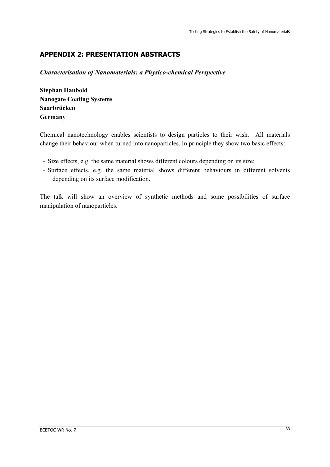# **APPENDIX 2: PRESENTATION ABSTRACTS**

*Characterisation of Nanomaterials: a Physico-chemical Perspective* 

**Stephan Haubold Nanogate Coating Systems Saarbrücken Germany** 

Chemical nanotechnology enables scientists to design particles to their wish. All materials change their behaviour when turned into nanoparticles. In principle they show two basic effects:

- Size effects, e.g. the same material shows different colours depending on its size;
- Surface effects, e.g. the same material shows different behaviours in different solvents depending on its surface modification.

The talk will show an overview of synthetic methods and some possibilities of surface manipulation of nanoparticles.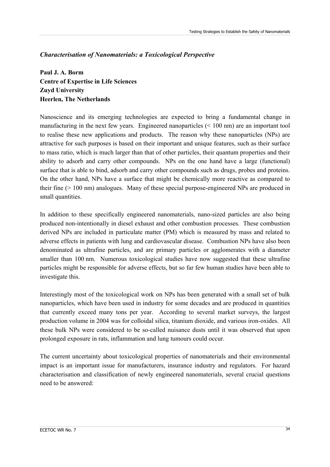# *Characterisation of Nanomaterials: a Toxicological Perspective*

**Paul J. A. Borm Centre of Expertise in Life Sciences Zuyd University Heerlen, The Netherlands** 

Nanoscience and its emerging technologies are expected to bring a fundamental change in manufacturing in the next few years. Engineered nanoparticles (< 100 nm) are an important tool to realise these new applications and products. The reason why these nanoparticles (NPs) are attractive for such purposes is based on their important and unique features, such as their surface to mass ratio, which is much larger than that of other particles, their quantum properties and their ability to adsorb and carry other compounds. NPs on the one hand have a large (functional) surface that is able to bind, adsorb and carry other compounds such as drugs, probes and proteins. On the other hand, NPs have a surface that might be chemically more reactive as compared to their fine  $(> 100 \text{ nm})$  analogues. Many of these special purpose-engineered NPs are produced in small quantities.

In addition to these specifically engineered nanomaterials, nano-sized particles are also being produced non-intentionally in diesel exhaust and other combustion processes. These combustion derived NPs are included in particulate matter (PM) which is measured by mass and related to adverse effects in patients with lung and cardiovascular disease. Combustion NPs have also been denominated as ultrafine particles, and are primary particles or agglomerates with a diameter smaller than 100 nm. Numerous toxicological studies have now suggested that these ultrafine particles might be responsible for adverse effects, but so far few human studies have been able to investigate this.

Interestingly most of the toxicological work on NPs has been generated with a small set of bulk nanoparticles, which have been used in industry for some decades and are produced in quantities that currently exceed many tons per year. According to several market surveys, the largest production volume in 2004 was for colloidal silica, titanium dioxide, and various iron-oxides. All these bulk NPs were considered to be so-called nuisance dusts until it was observed that upon prolonged exposure in rats, inflammation and lung tumours could occur.

The current uncertainty about toxicological properties of nanomaterials and their environmental impact is an important issue for manufacturers, insurance industry and regulators. For hazard characterisation and classification of newly engineered nanomaterials, several crucial questions need to be answered: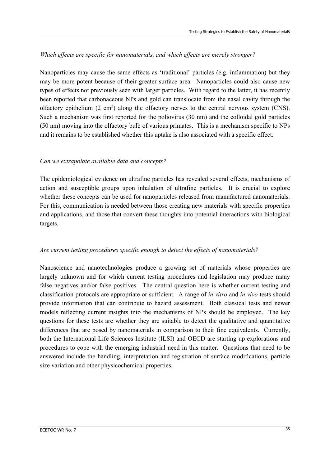## *Which effects are specific for nanomaterials, and which effects are merely stronger?*

Nanoparticles may cause the same effects as 'traditional' particles (e.g. inflammation) but they may be more potent because of their greater surface area. Nanoparticles could also cause new types of effects not previously seen with larger particles. With regard to the latter, it has recently been reported that carbonaceous NPs and gold can translocate from the nasal cavity through the olfactory epithelium  $(2 \text{ cm}^2)$  along the olfactory nerves to the central nervous system (CNS). Such a mechanism was first reported for the poliovirus (30 nm) and the colloidal gold particles (50 nm) moving into the olfactory bulb of various primates. This is a mechanism specific to NPs and it remains to be established whether this uptake is also associated with a specific effect.

## *Can we extrapolate available data and concepts?*

The epidemiological evidence on ultrafine particles has revealed several effects, mechanisms of action and susceptible groups upon inhalation of ultrafine particles. It is crucial to explore whether these concepts can be used for nanoparticles released from manufactured nanomaterials. For this, communication is needed between those creating new materials with specific properties and applications, and those that convert these thoughts into potential interactions with biological targets.

#### *Are current testing procedures specific enough to detect the effects of nanomaterials?*

Nanoscience and nanotechnologies produce a growing set of materials whose properties are largely unknown and for which current testing procedures and legislation may produce many false negatives and/or false positives. The central question here is whether current testing and classification protocols are appropriate or sufficient. A range of *in vitro* and *in vivo* tests should provide information that can contribute to hazard assessment. Both classical tests and newer models reflecting current insights into the mechanisms of NPs should be employed. The key questions for these tests are whether they are suitable to detect the qualitative and quantitative differences that are posed by nanomaterials in comparison to their fine equivalents. Currently, both the International Life Sciences Institute (ILSI) and OECD are starting up explorations and procedures to cope with the emerging industrial need in this matter. Questions that need to be answered include the handling, interpretation and registration of surface modifications, particle size variation and other physicochemical properties.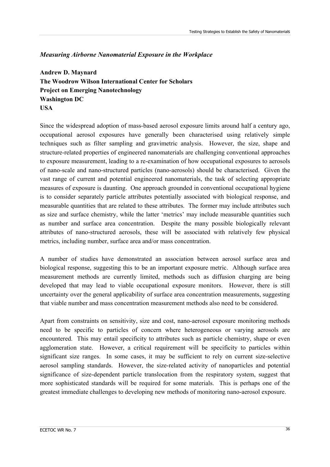## *Measuring Airborne Nanomaterial Exposure in the Workplace*

**Andrew D. Maynard The Woodrow Wilson International Center for Scholars Project on Emerging Nanotechnology Washington DC USA** 

Since the widespread adoption of mass-based aerosol exposure limits around half a century ago, occupational aerosol exposures have generally been characterised using relatively simple techniques such as filter sampling and gravimetric analysis. However, the size, shape and structure-related properties of engineered nanomaterials are challenging conventional approaches to exposure measurement, leading to a re-examination of how occupational exposures to aerosols of nano-scale and nano-structured particles (nano-aerosols) should be characterised. Given the vast range of current and potential engineered nanomaterials, the task of selecting appropriate measures of exposure is daunting. One approach grounded in conventional occupational hygiene is to consider separately particle attributes potentially associated with biological response, and measurable quantities that are related to these attributes. The former may include attributes such as size and surface chemistry, while the latter 'metrics' may include measurable quantities such as number and surface area concentration. Despite the many possible biologically relevant attributes of nano-structured aerosols, these will be associated with relatively few physical metrics, including number, surface area and/or mass concentration.

A number of studies have demonstrated an association between aerosol surface area and biological response, suggesting this to be an important exposure metric. Although surface area measurement methods are currently limited, methods such as diffusion charging are being developed that may lead to viable occupational exposure monitors. However, there is still uncertainty over the general applicability of surface area concentration measurements, suggesting that viable number and mass concentration measurement methods also need to be considered.

Apart from constraints on sensitivity, size and cost, nano-aerosol exposure monitoring methods need to be specific to particles of concern where heterogeneous or varying aerosols are encountered. This may entail specificity to attributes such as particle chemistry, shape or even agglomeration state. However, a critical requirement will be specificity to particles within significant size ranges. In some cases, it may be sufficient to rely on current size-selective aerosol sampling standards. However, the size-related activity of nanoparticles and potential significance of size-dependent particle translocation from the respiratory system, suggest that more sophisticated standards will be required for some materials. This is perhaps one of the greatest immediate challenges to developing new methods of monitoring nano-aerosol exposure.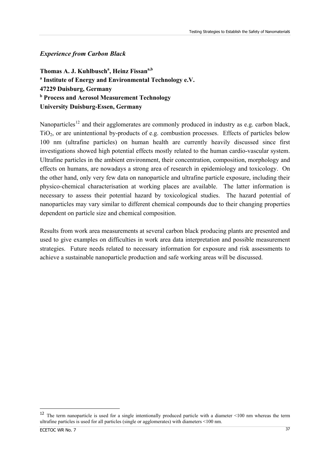## <span id="page-39-0"></span>*Experience from Carbon Black*

Thomas A. J. Kuhlbusch<sup>a</sup>, Heinz Fissan<sup>a,b</sup> **a Institute of Energy and Environmental Technology e.V. 47229 Duisburg, Germany b Process and Aerosol Measurement Technology University Duisburg-Essen, Germany** 

Nanoparticles<sup>[12](#page-39-0)</sup> and their agglomerates are commonly produced in industry as e.g. carbon black,  $TiO<sub>2</sub>$ , or are unintentional by-products of e.g. combustion processes. Effects of particles below 100 nm (ultrafine particles) on human health are currently heavily discussed since first investigations showed high potential effects mostly related to the human cardio-vascular system. Ultrafine particles in the ambient environment, their concentration, composition, morphology and effects on humans, are nowadays a strong area of research in epidemiology and toxicology. On the other hand, only very few data on nanoparticle and ultrafine particle exposure, including their physico-chemical characterisation at working places are available. The latter information is necessary to assess their potential hazard by toxicological studies. The hazard potential of nanoparticles may vary similar to different chemical compounds due to their changing properties dependent on particle size and chemical composition.

Results from work area measurements at several carbon black producing plants are presented and used to give examples on difficulties in work area data interpretation and possible measurement strategies. Future needs related to necessary information for exposure and risk assessments to achieve a sustainable nanoparticle production and safe working areas will be discussed.

<u>.</u>

<sup>&</sup>lt;sup>12</sup> The term nanoparticle is used for a single intentionally produced particle with a diameter  $\leq 100$  nm whereas the term ultrafine particles is used for all particles (single or agglomerates) with diameters <100 nm.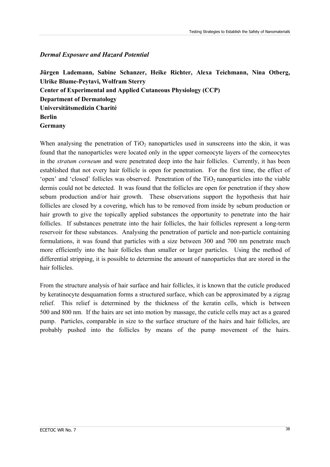## *Dermal Exposure and Hazard Potential*

**Jürgen Lademann, Sabine Schanzer, Heike Richter, Alexa Teichmann, Nina Otberg, Ulrike Blume-Peytavi, Wolfram Sterry Center of Experimental and Applied Cutaneous Physiology (CCP) Department of Dermatology Universitätsmedizin Charité Berlin Germany** 

When analysing the penetration of  $TiO<sub>2</sub>$  nanoparticles used in sunscreens into the skin, it was found that the nanoparticles were located only in the upper corneocyte layers of the corneocytes in the *stratum corneum* and were penetrated deep into the hair follicles. Currently, it has been established that not every hair follicle is open for penetration. For the first time, the effect of 'open' and 'closed' follicles was observed. Penetration of the  $TiO<sub>2</sub>$  nanoparticles into the viable dermis could not be detected. It was found that the follicles are open for penetration if they show sebum production and/or hair growth. These observations support the hypothesis that hair follicles are closed by a covering, which has to be removed from inside by sebum production or hair growth to give the topically applied substances the opportunity to penetrate into the hair follicles. If substances penetrate into the hair follicles, the hair follicles represent a long-term reservoir for these substances. Analysing the penetration of particle and non-particle containing formulations, it was found that particles with a size between 300 and 700 nm penetrate much more efficiently into the hair follicles than smaller or larger particles. Using the method of differential stripping, it is possible to determine the amount of nanoparticles that are stored in the hair follicles.

From the structure analysis of hair surface and hair follicles, it is known that the cuticle produced by keratinocyte desquamation forms a structured surface, which can be approximated by a zigzag relief. This relief is determined by the thickness of the keratin cells, which is between 500 and 800 nm. If the hairs are set into motion by massage, the cuticle cells may act as a geared pump. Particles, comparable in size to the surface structure of the hairs and hair follicles, are probably pushed into the follicles by means of the pump movement of the hairs.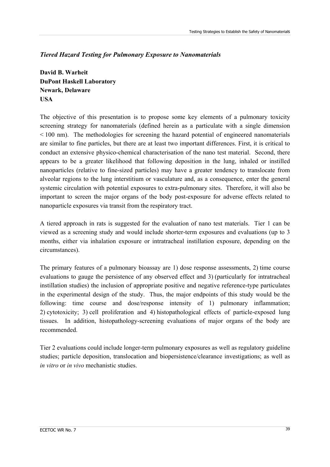# *Tiered Hazard Testing for Pulmonary Exposure to Nanomaterials*

**David B. Warheit DuPont Haskell Laboratory Newark, Delaware USA** 

The objective of this presentation is to propose some key elements of a pulmonary toxicity screening strategy for nanomaterials (defined herein as a particulate with a single dimension < 100 nm). The methodologies for screening the hazard potential of engineered nanomaterials are similar to fine particles, but there are at least two important differences. First, it is critical to conduct an extensive physico-chemical characterisation of the nano test material. Second, there appears to be a greater likelihood that following deposition in the lung, inhaled or instilled nanoparticles (relative to fine-sized particles) may have a greater tendency to translocate from alveolar regions to the lung interstitium or vasculature and, as a consequence, enter the general systemic circulation with potential exposures to extra-pulmonary sites. Therefore, it will also be important to screen the major organs of the body post-exposure for adverse effects related to nanoparticle exposures via transit from the respiratory tract.

A tiered approach in rats is suggested for the evaluation of nano test materials. Tier 1 can be viewed as a screening study and would include shorter-term exposures and evaluations (up to 3 months, either via inhalation exposure or intratracheal instillation exposure, depending on the circumstances).

The primary features of a pulmonary bioassay are 1) dose response assessments, 2) time course evaluations to gauge the persistence of any observed effect and 3) (particularly for intratracheal instillation studies) the inclusion of appropriate positive and negative reference-type particulates in the experimental design of the study. Thus, the major endpoints of this study would be the following: time course and dose/response intensity of 1) pulmonary inflammation; 2) cytotoxicity; 3) cell proliferation and 4) histopathological effects of particle-exposed lung tissues. In addition, histopathology-screening evaluations of major organs of the body are recommended.

Tier 2 evaluations could include longer-term pulmonary exposures as well as regulatory guideline studies; particle deposition, translocation and biopersistence/clearance investigations; as well as *in vitro* or *in vivo* mechanistic studies.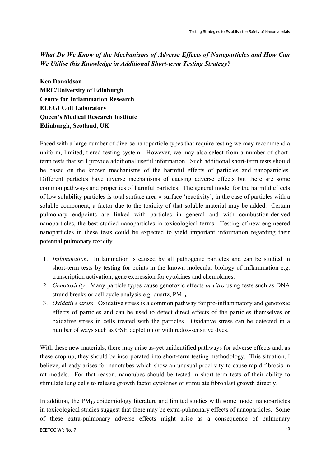# *What Do We Know of the Mechanisms of Adverse Effects of Nanoparticles and How Can We Utilise this Knowledge in Additional Short-term Testing Strategy?*

**Ken Donaldson MRC/University of Edinburgh Centre for Inflammation Research ELEGI Colt Laboratory Queen's Medical Research Institute Edinburgh, Scotland, UK** 

Faced with a large number of diverse nanoparticle types that require testing we may recommend a uniform, limited, tiered testing system. However, we may also select from a number of shortterm tests that will provide additional useful information. Such additional short-term tests should be based on the known mechanisms of the harmful effects of particles and nanoparticles. Different particles have diverse mechanisms of causing adverse effects but there are some common pathways and properties of harmful particles. The general model for the harmful effects of low solubility particles is total surface area × surface 'reactivity'; in the case of particles with a soluble component, a factor due to the toxicity of that soluble material may be added. Certain pulmonary endpoints are linked with particles in general and with combustion-derived nanoparticles, the best studied nanoparticles in toxicological terms. Testing of new engineered nanoparticles in these tests could be expected to yield important information regarding their potential pulmonary toxicity.

- 1. *Inflammation*. Inflammation is caused by all pathogenic particles and can be studied in short-term tests by testing for points in the known molecular biology of inflammation e.g. transcription activation, gene expression for cytokines and chemokines.
- 2. *Genotoxicity*. Many particle types cause genotoxic effects *in vitro* using tests such as DNA strand breaks or cell cycle analysis e.g. quartz,  $PM_{10}$ .
- 3. *Oxidative stress.* Oxidative stress is a common pathway for pro-inflammatory and genotoxic effects of particles and can be used to detect direct effects of the particles themselves or oxidative stress in cells treated with the particles. Oxidative stress can be detected in a number of ways such as GSH depletion or with redox-sensitive dyes.

With these new materials, there may arise as-yet unidentified pathways for adverse effects and, as these crop up, they should be incorporated into short-term testing methodology. This situation, I believe, already arises for nanotubes which show an unusual proclivity to cause rapid fibrosis in rat models. For that reason, nanotubes should be tested in short-term tests of their ability to stimulate lung cells to release growth factor cytokines or stimulate fibroblast growth directly.

In addition, the  $PM_{10}$  epidemiology literature and limited studies with some model nanoparticles in toxicological studies suggest that there may be extra-pulmonary effects of nanoparticles. Some of these extra-pulmonary adverse effects might arise as a consequence of pulmonary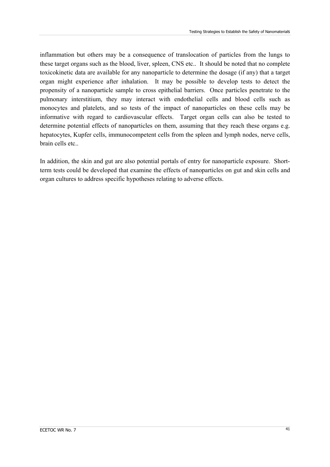inflammation but others may be a consequence of translocation of particles from the lungs to these target organs such as the blood, liver, spleen, CNS etc.. It should be noted that no complete toxicokinetic data are available for any nanoparticle to determine the dosage (if any) that a target organ might experience after inhalation. It may be possible to develop tests to detect the propensity of a nanoparticle sample to cross epithelial barriers. Once particles penetrate to the pulmonary interstitium, they may interact with endothelial cells and blood cells such as monocytes and platelets, and so tests of the impact of nanoparticles on these cells may be informative with regard to cardiovascular effects. Target organ cells can also be tested to determine potential effects of nanoparticles on them, assuming that they reach these organs e.g. hepatocytes, Kupfer cells, immunocompetent cells from the spleen and lymph nodes, nerve cells, brain cells etc..

In addition, the skin and gut are also potential portals of entry for nanoparticle exposure. Shortterm tests could be developed that examine the effects of nanoparticles on gut and skin cells and organ cultures to address specific hypotheses relating to adverse effects.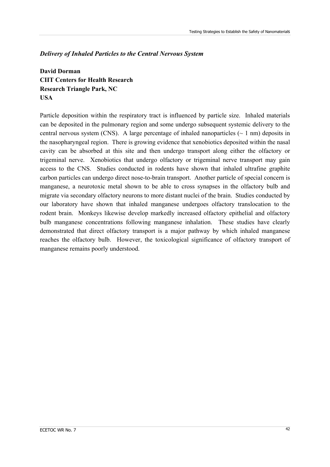## *Delivery of Inhaled Particles to the Central Nervous System*

**David Dorman CIIT Centers for Health Research Research Triangle Park, NC USA** 

Particle deposition within the respiratory tract is influenced by particle size. Inhaled materials can be deposited in the pulmonary region and some undergo subsequent systemic delivery to the central nervous system (CNS). A large percentage of inhaled nanoparticles  $(\sim 1 \text{ nm})$  deposits in the nasopharyngeal region. There is growing evidence that xenobiotics deposited within the nasal cavity can be absorbed at this site and then undergo transport along either the olfactory or trigeminal nerve. Xenobiotics that undergo olfactory or trigeminal nerve transport may gain access to the CNS. Studies conducted in rodents have shown that inhaled ultrafine graphite carbon particles can undergo direct nose-to-brain transport. Another particle of special concern is manganese, a neurotoxic metal shown to be able to cross synapses in the olfactory bulb and migrate via secondary olfactory neurons to more distant nuclei of the brain. Studies conducted by our laboratory have shown that inhaled manganese undergoes olfactory translocation to the rodent brain. Monkeys likewise develop markedly increased olfactory epithelial and olfactory bulb manganese concentrations following manganese inhalation. These studies have clearly demonstrated that direct olfactory transport is a major pathway by which inhaled manganese reaches the olfactory bulb. However, the toxicological significance of olfactory transport of manganese remains poorly understood.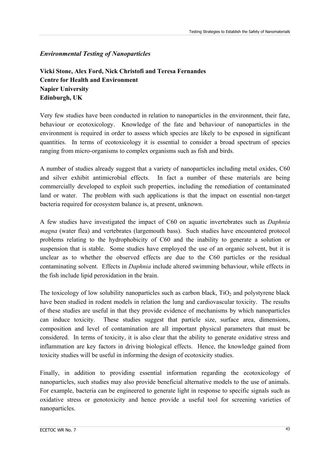# *Environmental Testing of Nanoparticles*

**Vicki Stone, Alex Ford, Nick Christofi and Teresa Fernandes Centre for Health and Environment Napier University Edinburgh, UK** 

Very few studies have been conducted in relation to nanoparticles in the environment, their fate, behaviour or ecotoxicology. Knowledge of the fate and behaviour of nanoparticles in the environment is required in order to assess which species are likely to be exposed in significant quantities. In terms of ecotoxicology it is essential to consider a broad spectrum of species ranging from micro-organisms to complex organisms such as fish and birds.

A number of studies already suggest that a variety of nanoparticles including metal oxides, C60 and silver exhibit antimicrobial effects. In fact a number of these materials are being commercially developed to exploit such properties, including the remediation of contaminated land or water. The problem with such applications is that the impact on essential non-target bacteria required for ecosystem balance is, at present, unknown.

A few studies have investigated the impact of C60 on aquatic invertebrates such as *Daphnia magna* (water flea) and vertebrates (largemouth bass). Such studies have encountered protocol problems relating to the hydrophobicity of C60 and the inability to generate a solution or suspension that is stable. Some studies have employed the use of an organic solvent, but it is unclear as to whether the observed effects are due to the C60 particles or the residual contaminating solvent. Effects in *Daphnia* include altered swimming behaviour, while effects in the fish include lipid peroxidation in the brain.

The toxicology of low solubility nanoparticles such as carbon black,  $TiO<sub>2</sub>$  and polystyrene black have been studied in rodent models in relation the lung and cardiovascular toxicity. The results of these studies are useful in that they provide evidence of mechanisms by which nanoparticles can induce toxicity. These studies suggest that particle size, surface area, dimensions, composition and level of contamination are all important physical parameters that must be considered. In terms of toxicity, it is also clear that the ability to generate oxidative stress and inflammation are key factors in driving biological effects. Hence, the knowledge gained from toxicity studies will be useful in informing the design of ecotoxicity studies.

Finally, in addition to providing essential information regarding the ecotoxicology of nanoparticles, such studies may also provide beneficial alternative models to the use of animals. For example, bacteria can be engineered to generate light in response to specific signals such as oxidative stress or genotoxicity and hence provide a useful tool for screening varieties of nanoparticles.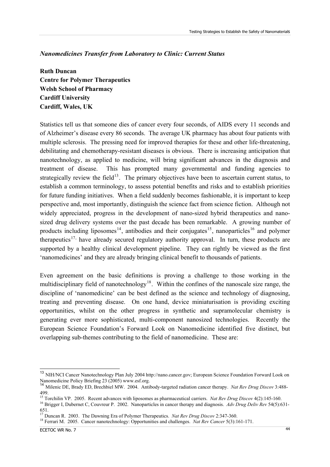## <span id="page-46-0"></span>*Nanomedicines Transfer from Laboratory to Clinic: Current Status*

**Ruth Duncan Centre for Polymer Therapeutics Welsh School of Pharmacy Cardiff University Cardiff, Wales, UK** 

Statistics tell us that someone dies of cancer every four seconds, of AIDS every 11 seconds and of Alzheimer's disease every 86 seconds. The average UK pharmacy has about four patients with multiple sclerosis. The pressing need for improved therapies for these and other life-threatening, debilitating and chemotherapy-resistant diseases is obvious. There is increasing anticipation that nanotechnology, as applied to medicine, will bring significant advances in the diagnosis and treatment of disease. This has prompted many governmental and funding agencies to strategically review the field<sup>[13](#page-46-0)</sup>. The primary objectives have been to ascertain current status, to establish a common terminology, to assess potential benefits and risks and to establish priorities for future funding initiatives. When a field suddenly becomes fashionable, it is important to keep perspective and, most importantly, distinguish the science fact from science fiction. Although not widely appreciated, progress in the development of nano-sized hybrid therapeutics and nanosized drug delivery systems over the past decade has been remarkable. A growing number of products including liposomes<sup>[14](#page-46-0)</sup>, antibodies and their conjugates<sup>[15](#page-46-0)</sup>, nanoparticles<sup>[16](#page-46-0)</sup> and polymer therapeutics<sup>[17](#page-46-0),</sup> have already secured regulatory authority approval. In turn, these products are supported by a healthy clinical development pipeline. They can rightly be viewed as the first 'nanomedicines' and they are already bringing clinical benefit to thousands of patients.

Even agreement on the basic definitions is proving a challenge to those working in the multidisciplinary field of nanotechnology<sup>[18](#page-46-0)</sup>. Within the confines of the nanoscale size range, the discipline of 'nanomedicine' can be best defined as the science and technology of diagnosing, treating and preventing disease. On one hand, device miniaturisation is providing exciting opportunities, whilst on the other progress in synthetic and supramolecular chemistry is generating ever more sophisticated, multi-component nanosized technologies. Recently the European Science Foundation's Forward Look on Nanomedicine identified five distinct, but overlapping sub-themes contributing to the field of nanomedicine. These are:

 $\overline{a}$ 

<sup>&</sup>lt;sup>13</sup> NIH/NCI Cancer Nanotechnology Plan July 2004 [http://nano.cancer.gov;](http://nano.cancer.gov/alliance_cancer_nanotechnology_plan.pdf) European Science Foundation Forward Look on Nanomedicine Policy Briefing 23 (2005) [www.esf.org](http://www.esf.org/). <sup>14</sup> Milenic DE, Brady ED, Brechbiel MW. 2004. Antibody-targeted radiation cancer therapy. *Nat Rev Drug Discov* 3:488-

<sup>499.</sup> 

<sup>&</sup>lt;sup>15</sup> Torchilin VP. 2005. Recent advances with liposomes as pharmaceutical carriers. *Nat Rev Drug Discov* 4(2):145-160.<br><sup>16</sup> Brigger I. Dubernet C. Couvreur P. 2002. Nanoparticles in cancer therapy and diagnosis. *Adv Dru* 

<sup>651.&</sup>lt;br><sup>17</sup> Duncan R. 2003. The Dawning Era of Polymer Therapeutics. *Nat Rev Drug Discov* 2:347-360.

<sup>&</sup>lt;sup>18</sup> Ferrari M. 2005. Cancer nanotechnology: Opportunities and challenges. *Nat Rev Cancer* 5(3):161-171.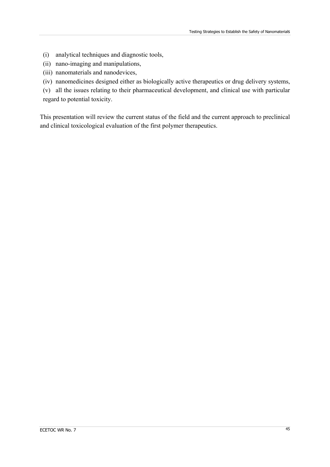- (i) analytical techniques and diagnostic tools,
- (ii) nano-imaging and manipulations,
- (iii) nanomaterials and nanodevices,
- (iv) nanomedicines designed either as biologically active therapeutics or drug delivery systems,

(v) all the issues relating to their pharmaceutical development, and clinical use with particular regard to potential toxicity.

This presentation will review the current status of the field and the current approach to preclinical and clinical toxicological evaluation of the first polymer therapeutics.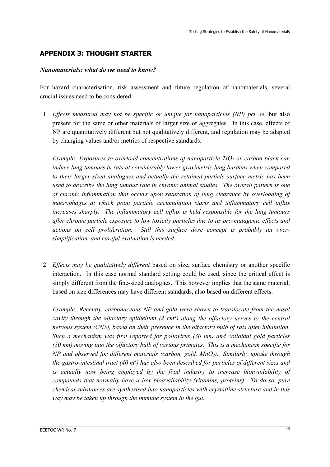# **APPENDIX 3: THOUGHT STARTER**

## *Nanomaterials: what do we need to know?*

For hazard characterisation, risk assessment and future regulation of nanomaterials, several crucial issues need to be considered:

1. *Effects measured may not be specific or unique for nanoparticles (NP) per se,* but also present for the same or other materials of larger size or aggregates. In this case, effects of NP are quantitatively different but not qualitatively different, and regulation may be adapted by changing values and/or metrics of respective standards.

*Example: Exposures to overload concentrations of nanoparticle TiO<sub>2</sub> or carbon black can induce lung tumours in rats at considerably lower gravimetric lung burdens when compared to their larger sized analogues and actually the retained particle surface metric has been used to describe the lung tumour rate in chronic animal studies. The overall pattern is one of chronic inflammation that occurs upon saturation of lung clearance by overloading of macrophages at which point particle accumulation starts and inflammatory cell influx increases sharply. The inflammatory cell influx is held responsible for the lung tumours after chronic particle exposure to low toxicity particles due to its pro-mutagenic effects and actions on cell proliferation. Still this surface dose concept is probably an oversimplification, and careful evaluation is needed.* 

2. *Effects may be qualitatively different* based on size, surface chemistry or another specific interaction. In this case normal standard setting could be used, since the critical effect is simply different from the fine-sized analogues. This however implies that the same material, based on size differences may have different standards, also based on different effects.

*Example: Recently, carbonaceous NP and gold were shown to translocate from the nasal cavity through the olfactory epithelium (2 cm<sup>2</sup>) along the olfactory nerves to the central nervous system (CNS), based on their presence in the olfactory bulb of rats after inhalation. Such a mechanism was first reported for poliovirus (30 nm) and colloidal gold particles (50 nm) moving into the olfactory bulb of various primates. This is a mechanism specific for NP* and observed for different materials (carbon, gold, MnO<sub>2</sub>). Similarly, uptake through *the gastro-intestinal tract (40 m2 ) has also been described for particles of different sizes and is actually now being employed by the food industry to increase bioavailability of compounds that normally have a low bioavailability (vitamins, proteins). To do so, pure chemical substances are synthesised into nanoparticles with crystalline structure and in this way may be taken up through the immune system in the gut.*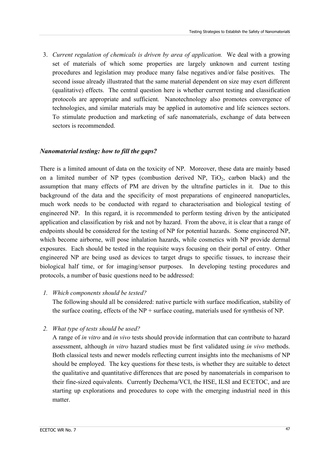3. *Current regulation of chemicals is driven by area of application.* We deal with a growing set of materials of which some properties are largely unknown and current testing procedures and legislation may produce many false negatives and/or false positives. The second issue already illustrated that the same material dependent on size may exert different (qualitative) effects. The central question here is whether current testing and classification protocols are appropriate and sufficient. Nanotechnology also promotes convergence of technologies, and similar materials may be applied in automotive and life sciences sectors. To stimulate production and marketing of safe nanomaterials, exchange of data between sectors is recommended.

## *Nanomaterial testing: how to fill the gaps?*

There is a limited amount of data on the toxicity of NP. Moreover, these data are mainly based on a limited number of NP types (combustion derived NP,  $TiO<sub>2</sub>$ , carbon black) and the assumption that many effects of PM are driven by the ultrafine particles in it. Due to this background of the data and the specificity of most preparations of engineered nanoparticles, much work needs to be conducted with regard to characterisation and biological testing of engineered NP. In this regard, it is recommended to perform testing driven by the anticipated application and classification by risk and not by hazard. From the above, it is clear that a range of endpoints should be considered for the testing of NP for potential hazards. Some engineered NP, which become airborne, will pose inhalation hazards, while cosmetics with NP provide dermal exposures. Each should be tested in the requisite ways focusing on their portal of entry. Other engineered NP are being used as devices to target drugs to specific tissues, to increase their biological half time, or for imaging/sensor purposes. In developing testing procedures and protocols, a number of basic questions need to be addressed:

#### *1. Which components should be tested?*

The following should all be considered: native particle with surface modification, stability of the surface coating, effects of the NP + surface coating, materials used for synthesis of NP.

## *2. What type of tests should be used?*

A range of *in vitro* and *in vivo* tests should provide information that can contribute to hazard assessment, although *in vitro* hazard studies must be first validated using *in vivo* methods. Both classical tests and newer models reflecting current insights into the mechanisms of NP should be employed. The key questions for these tests, is whether they are suitable to detect the qualitative and quantitative differences that are posed by nanomaterials in comparison to their fine-sized equivalents. Currently Dechema/VCI, the HSE, ILSI and ECETOC, and are starting up explorations and procedures to cope with the emerging industrial need in this matter.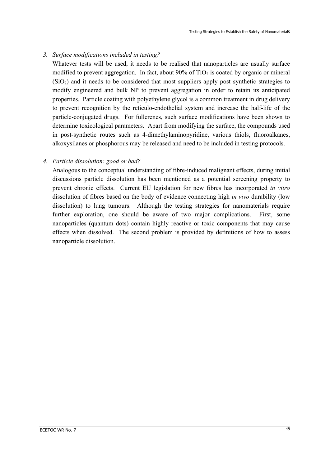## *3. Surface modifications included in testing?*

Whatever tests will be used, it needs to be realised that nanoparticles are usually surface modified to prevent aggregation. In fact, about  $90\%$  of TiO<sub>2</sub> is coated by organic or mineral  $(SiO<sub>2</sub>)$  and it needs to be considered that most suppliers apply post synthetic strategies to modify engineered and bulk NP to prevent aggregation in order to retain its anticipated properties. Particle coating with polyethylene glycol is a common treatment in drug delivery to prevent recognition by the reticulo-endothelial system and increase the half-life of the particle-conjugated drugs. For fullerenes, such surface modifications have been shown to determine toxicological parameters. Apart from modifying the surface, the compounds used in post-synthetic routes such as 4-dimethylaminopyridine, various thiols, fluoroalkanes, alkoxysilanes or phosphorous may be released and need to be included in testing protocols.

## *4. Particle dissolution: good or bad?*

Analogous to the conceptual understanding of fibre-induced malignant effects, during initial discussions particle dissolution has been mentioned as a potential screening property to prevent chronic effects. Current EU legislation for new fibres has incorporated *in vitro*  dissolution of fibres based on the body of evidence connecting high *in vivo* durability (low dissolution) to lung tumours. Although the testing strategies for nanomaterials require further exploration, one should be aware of two major complications. First, some nanoparticles (quantum dots) contain highly reactive or toxic components that may cause effects when dissolved. The second problem is provided by definitions of how to assess nanoparticle dissolution.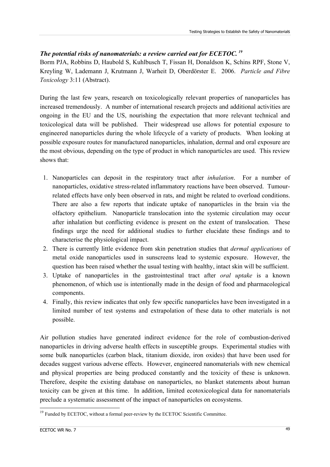# <span id="page-51-0"></span>*The potential risks of nanomaterials: a review carried out for ECETOC. [19](#page-51-0)*

Borm PJA, Robbins D, Haubold S, Kuhlbusch T, Fissan H, Donaldson K, Schins RPF, Stone V, Kreyling W, Lademann J, Krutmann J, Warheit D, Oberdörster E. 2006. *Particle and Fibre Toxicology* 3:11 (Abstract).

During the last few years, research on toxicologically relevant properties of nanoparticles has increased tremendously. A number of international research projects and additional activities are ongoing in the EU and the US, nourishing the expectation that more relevant technical and toxicological data will be published. Their widespread use allows for potential exposure to engineered nanoparticles during the whole lifecycle of a variety of products. When looking at possible exposure routes for manufactured nanoparticles, inhalation, dermal and oral exposure are the most obvious, depending on the type of product in which nanoparticles are used. This review shows that:

- 1. Nanoparticles can deposit in the respiratory tract after *inhalation*. For a number of nanoparticles, oxidative stress-related inflammatory reactions have been observed. Tumourrelated effects have only been observed in rats, and might be related to overload conditions. There are also a few reports that indicate uptake of nanoparticles in the brain via the olfactory epithelium. Nanoparticle translocation into the systemic circulation may occur after inhalation but conflicting evidence is present on the extent of translocation. These findings urge the need for additional studies to further elucidate these findings and to characterise the physiological impact.
- 2. There is currently little evidence from skin penetration studies that *dermal applications* of metal oxide nanoparticles used in sunscreens lead to systemic exposure. However, the question has been raised whether the usual testing with healthy, intact skin will be sufficient.
- 3. Uptake of nanoparticles in the gastrointestinal tract after *oral uptake* is a known phenomenon, of which use is intentionally made in the design of food and pharmacological components.
- 4. Finally, this review indicates that only few specific nanoparticles have been investigated in a limited number of test systems and extrapolation of these data to other materials is not possible.

Air pollution studies have generated indirect evidence for the role of combustion-derived nanoparticles in driving adverse health effects in susceptible groups. Experimental studies with some bulk nanoparticles (carbon black, titanium dioxide, iron oxides) that have been used for decades suggest various adverse effects. However, engineered nanomaterials with new chemical and physical properties are being produced constantly and the toxicity of these is unknown. Therefore, despite the existing database on nanoparticles, no blanket statements about human toxicity can be given at this time. In addition, limited ecotoxicological data for nanomaterials preclude a systematic assessment of the impact of nanoparticles on ecosystems.

<sup>&</sup>lt;u>.</u>  $19$  Funded by ECETOC, without a formal peer-review by the ECETOC Scientific Committee.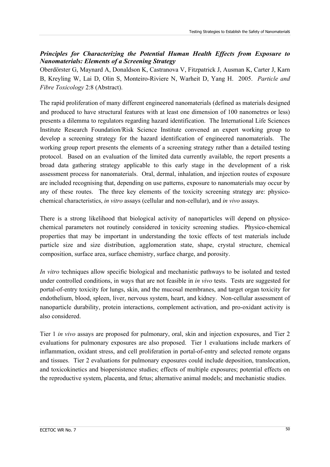## *Principles for Characterizing the Potential Human Health Effects from Exposure to Nanomaterials: Elements of a Screening Strategy*

Oberdörster G, Maynard A, Donaldson K, Castranova V, Fitzpatrick J, Ausman K, Carter J, Karn B, Kreyling W, Lai D, Olin S, Monteiro-Riviere N, Warheit D, Yang H. 2005. *Particle and Fibre Toxicology* 2:8 (Abstract).

The rapid proliferation of many different engineered nanomaterials (defined as materials designed and produced to have structural features with at least one dimension of 100 nanometres or less) presents a dilemma to regulators regarding hazard identification. The International Life Sciences Institute Research Foundation/Risk Science Institute convened an expert working group to develop a screening strategy for the hazard identification of engineered nanomaterials. The working group report presents the elements of a screening strategy rather than a detailed testing protocol. Based on an evaluation of the limited data currently available, the report presents a broad data gathering strategy applicable to this early stage in the development of a risk assessment process for nanomaterials. Oral, dermal, inhalation, and injection routes of exposure are included recognising that, depending on use patterns, exposure to nanomaterials may occur by any of these routes. The three key elements of the toxicity screening strategy are: physicochemical characteristics, *in vitro* assays (cellular and non-cellular), and *in vivo* assays.

There is a strong likelihood that biological activity of nanoparticles will depend on physicochemical parameters not routinely considered in toxicity screening studies. Physico-chemical properties that may be important in understanding the toxic effects of test materials include particle size and size distribution, agglomeration state, shape, crystal structure, chemical composition, surface area, surface chemistry, surface charge, and porosity.

*In vitro* techniques allow specific biological and mechanistic pathways to be isolated and tested under controlled conditions, in ways that are not feasible in *in vivo* tests. Tests are suggested for portal-of-entry toxicity for lungs, skin, and the mucosal membranes, and target organ toxicity for endothelium, blood, spleen, liver, nervous system, heart, and kidney. Non-cellular assessment of nanoparticle durability, protein interactions, complement activation, and pro-oxidant activity is also considered.

Tier 1 *in vivo* assays are proposed for pulmonary, oral, skin and injection exposures, and Tier 2 evaluations for pulmonary exposures are also proposed. Tier 1 evaluations include markers of inflammation, oxidant stress, and cell proliferation in portal-of-entry and selected remote organs and tissues. Tier 2 evaluations for pulmonary exposures could include deposition, translocation, and toxicokinetics and biopersistence studies; effects of multiple exposures; potential effects on the reproductive system, placenta, and fetus; alternative animal models; and mechanistic studies.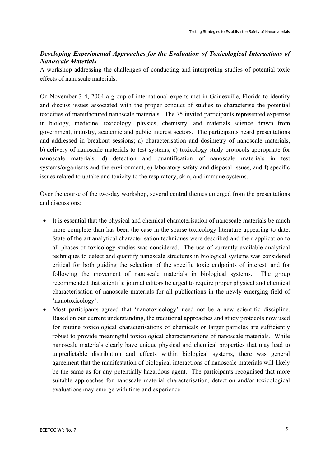## *Developing Experimental Approaches for the Evaluation of Toxicological Interactions of Nanoscale Materials*

A workshop addressing the challenges of conducting and interpreting studies of potential toxic effects of nanoscale materials.

On November 3-4, 2004 a group of international experts met in Gainesville, Florida to identify and discuss issues associated with the proper conduct of studies to characterise the potential toxicities of manufactured nanoscale materials. The 75 invited participants represented expertise in biology, medicine, toxicology, physics, chemistry, and materials science drawn from government, industry, academic and public interest sectors. The participants heard presentations and addressed in breakout sessions; a) characterisation and dosimetry of nanoscale materials, b) delivery of nanoscale materials to test systems, c) toxicology study protocols appropriate for nanoscale materials, d) detection and quantification of nanoscale materials in test systems/organisms and the environment, e) laboratory safety and disposal issues, and f) specific issues related to uptake and toxicity to the respiratory, skin, and immune systems.

Over the course of the two-day workshop, several central themes emerged from the presentations and discussions:

- It is essential that the physical and chemical characterisation of nanoscale materials be much more complete than has been the case in the sparse toxicology literature appearing to date. State of the art analytical characterisation techniques were described and their application to all phases of toxicology studies was considered. The use of currently available analytical techniques to detect and quantify nanoscale structures in biological systems was considered critical for both guiding the selection of the specific toxic endpoints of interest, and for following the movement of nanoscale materials in biological systems. The group recommended that scientific journal editors be urged to require proper physical and chemical characterisation of nanoscale materials for all publications in the newly emerging field of 'nanotoxicology'.
- Most participants agreed that 'nanotoxicology' need not be a new scientific discipline. Based on our current understanding, the traditional approaches and study protocols now used for routine toxicological characterisations of chemicals or larger particles are sufficiently robust to provide meaningful toxicological characterisations of nanoscale materials. While nanoscale materials clearly have unique physical and chemical properties that may lead to unpredictable distribution and effects within biological systems, there was general agreement that the manifestation of biological interactions of nanoscale materials will likely be the same as for any potentially hazardous agent. The participants recognised that more suitable approaches for nanoscale material characterisation, detection and/or toxicological evaluations may emerge with time and experience.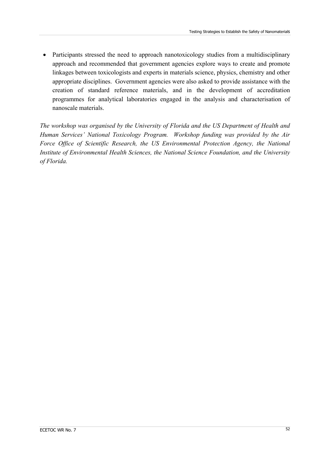• Participants stressed the need to approach nanotoxicology studies from a multidisciplinary approach and recommended that government agencies explore ways to create and promote linkages between toxicologists and experts in materials science, physics, chemistry and other appropriate disciplines. Government agencies were also asked to provide assistance with the creation of standard reference materials, and in the development of accreditation programmes for analytical laboratories engaged in the analysis and characterisation of nanoscale materials.

*The workshop was organised by the University of Florida and the US Department of Health and Human Services' National Toxicology Program. Workshop funding was provided by the Air Force Office of Scientific Research, the US Environmental Protection Agency, the National Institute of Environmental Health Sciences, the National Science Foundation, and the University of Florida.*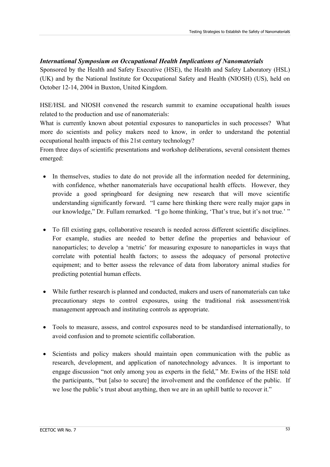## *International Symposium on Occupational Health Implications of Nanomaterials*

Sponsored by the Health and Safety Executive (HSE), the Health and Safety Laboratory (HSL) (UK) and by the National Institute for Occupational Safety and Health (NIOSH) (US), held on October 12-14, 2004 in Buxton, United Kingdom.

HSE/HSL and NIOSH convened the research summit to examine occupational health issues related to the production and use of nanomaterials:

What is currently known about potential exposures to nanoparticles in such processes? What more do scientists and policy makers need to know, in order to understand the potential occupational health impacts of this 21st century technology?

From three days of scientific presentations and workshop deliberations, several consistent themes emerged:

- In themselves, studies to date do not provide all the information needed for determining, with confidence, whether nanomaterials have occupational health effects. However, they provide a good springboard for designing new research that will move scientific understanding significantly forward. "I came here thinking there were really major gaps in our knowledge," Dr. Fullam remarked. "I go home thinking, 'That's true, but it's not true.' "
- To fill existing gaps, collaborative research is needed across different scientific disciplines. For example, studies are needed to better define the properties and behaviour of nanoparticles; to develop a 'metric' for measuring exposure to nanoparticles in ways that correlate with potential health factors; to assess the adequacy of personal protective equipment; and to better assess the relevance of data from laboratory animal studies for predicting potential human effects.
- While further research is planned and conducted, makers and users of nanomaterials can take precautionary steps to control exposures, using the traditional risk assessment/risk management approach and instituting controls as appropriate.
- Tools to measure, assess, and control exposures need to be standardised internationally, to avoid confusion and to promote scientific collaboration.
- Scientists and policy makers should maintain open communication with the public as research, development, and application of nanotechnology advances. It is important to engage discussion "not only among you as experts in the field," Mr. Ewins of the HSE told the participants, "but [also to secure] the involvement and the confidence of the public. If we lose the public's trust about anything, then we are in an uphill battle to recover it."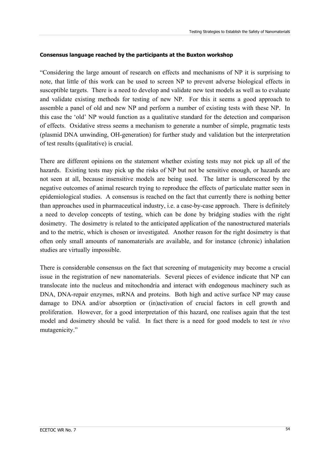#### **Consensus language reached by the participants at the Buxton workshop**

"Considering the large amount of research on effects and mechanisms of NP it is surprising to note, that little of this work can be used to screen NP to prevent adverse biological effects in susceptible targets. There is a need to develop and validate new test models as well as to evaluate and validate existing methods for testing of new NP. For this it seems a good approach to assemble a panel of old and new NP and perform a number of existing tests with these NP. In this case the 'old' NP would function as a qualitative standard for the detection and comparison of effects. Oxidative stress seems a mechanism to generate a number of simple, pragmatic tests (plasmid DNA unwinding, OH-generation) for further study and validation but the interpretation of test results (qualitative) is crucial.

There are different opinions on the statement whether existing tests may not pick up all of the hazards. Existing tests may pick up the risks of NP but not be sensitive enough, or hazards are not seen at all, because insensitive models are being used. The latter is underscored by the negative outcomes of animal research trying to reproduce the effects of particulate matter seen in epidemiological studies. A consensus is reached on the fact that currently there is nothing better than approaches used in pharmaceutical industry, i.e. a case-by-case approach. There is definitely a need to develop concepts of testing, which can be done by bridging studies with the right dosimetry. The dosimetry is related to the anticipated application of the nanostructured materials and to the metric, which is chosen or investigated. Another reason for the right dosimetry is that often only small amounts of nanomaterials are available, and for instance (chronic) inhalation studies are virtually impossible.

There is considerable consensus on the fact that screening of mutagenicity may become a crucial issue in the registration of new nanomaterials. Several pieces of evidence indicate that NP can translocate into the nucleus and mitochondria and interact with endogenous machinery such as DNA, DNA-repair enzymes, mRNA and proteins. Both high and active surface NP may cause damage to DNA and/or absorption or (in)activation of crucial factors in cell growth and proliferation. However, for a good interpretation of this hazard, one realises again that the test model and dosimetry should be valid. In fact there is a need for good models to test *in vivo*  mutagenicity."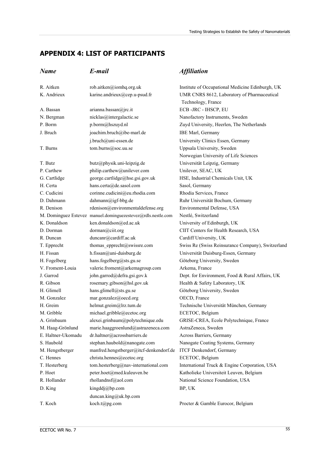# **APPENDIX 4: LIST OF PARTICIPANTS**

# *Name E-mail Affiliation*

| R. Aitken          | rob.aitken@iomhq.org.uk                                      | Institute of Occupational Medicine Edinburgh, UK  |
|--------------------|--------------------------------------------------------------|---------------------------------------------------|
| K. Andrieux        | karine.andrieux@cep.u-psud.fr                                | UMR CNRS 8612, Laboratory of Pharmaceutical       |
|                    |                                                              | Technology, France                                |
| A. Bassan          | arianna.bassan@jrc.it                                        | ECB-JRC - IHSCP, EU                               |
| N. Bergman         | nicklas@intergalactic.se                                     | Nanofactory Instruments, Sweden                   |
| P. Borm            | p.borm@hszuyd.nl                                             | Zuyd University, Heerlen, The Netherlands         |
| J. Bruch           | joachim.bruch@ibe-marl.de                                    | IBE Marl, Germany                                 |
|                    | j.bruch@uni-essen.de                                         | University Clinics Essen, Germany                 |
| T. Burns           | tom.burns@soc.uu.se                                          | Uppsala University, Sweden                        |
|                    |                                                              | Norwegian University of Life Sciences             |
| T. Butz            | butz@physik.uni-leipzig.de                                   | Universität Leipzig, Germany                      |
| P. Carthew         | philip.carthew@unilever.com                                  | Unilever, SEAC, UK                                |
| G. Cartlidge       | george.cartlidge@hse.gsi.gov.uk                              | HSE, Industrial Chemicals Unit, UK                |
| H. Certa           | hans.certa@de.sasol.com                                      | Sasol, Germany                                    |
| C. Cudicini        | corinne.cudicini@eu.rhodia.com                               | Rhodia Services, France                           |
| D. Dahmann         | dahmann@igf-bbg.de                                           | Ruhr Universität Bochum, Germany                  |
| R. Denison         | rdenison@environmentaldefense.org                            | Environmental Defense, USA                        |
|                    | M. Dominguez Estevez manuel.dominguezestevez@rdls.nestle.com | Nestlé, Switzerland                               |
| K. Donaldson       | ken.donaldson@ed.ac.uk                                       | University of Edinburgh, UK                       |
| D. Dorman          | dorman@ciit.org                                              | CIIT Centers for Health Research, USA             |
| R. Duncan          | duncanr@cardiff.ac.uk                                        | Cardiff University, UK                            |
| T. Epprecht        | thomas epprecht@swissre.com                                  | Swiss Re (Swiss Reinsurance Company), Switzerland |
| H. Fissan          | h.fissan@uni-duisburg.de                                     | Universität Duisburg-Essen, Germany               |
| H. Fogelberg       | hans.fogelberg@sts.gu.se                                     | Göteborg University, Sweden                       |
| V. Froment-Louia   | valerie.froment@arkemagroup.com                              | Arkema, France                                    |
| J. Garrod          | john.garrod@defra.gsi.gov.k                                  | Dept. for Environment, Food & Rural Affairs, UK   |
| R. Gibson          | rosemary.gibson@hsl.gov.uk                                   | Health & Safety Laboratory, UK                    |
| H. Glimell         | hans.glimell@sts.gu.se                                       | Göteborg University, Sweden                       |
| M. Gonzalez        | mar.gonzalez@oecd.org                                        | OECD, France                                      |
| H. Greim           | helmut.greim@lrz.tum.de                                      | Technische Universität München, Germany           |
| M. Gribble         | michael.gribble@ecetoc.org                                   | ECETOC, Belgium                                   |
| A. Grinbaum        | alexei.grinbaum@polytechnique.edu                            | GRISE-CREA, Ecole Polytechnique, France           |
| M. Haag-Grönlund   | marie.haaggroenlund@astrazeneca.com                          | AstraZeneca, Sweden                               |
| E. Haltner-Ukomadu | dr.haltner@acrossbarriers.de                                 | Across Barriers, Germany                          |
| S. Haubold         | stephan.haubold@nanogate.com                                 | Nanogate Coating Systems, Germany                 |
| M. Hengstberger    | manfred.hengstberger@itcf-denkendorf.de                      | ITCF Denkendorf, Germany                          |
| C. Hennes          | christa.hennes@ecetoc.org                                    | ECETOC, Belgium                                   |
| T. Hesterberg      | tom.hesterberg@nav-international.com                         | International Truck & Engine Corporation, USA     |
| P. Hoet            | peter.hoet@med.kuleuven.be                                   | Katholieke Universiteit Leuven, Belgium           |
| R. Hollander       | rhollandnsf@aol.com                                          | National Science Foundation, USA                  |
| D. King            | kingddj@bp.com                                               | BP, UK                                            |
|                    | duncan.king@uk.bp.com                                        |                                                   |
| T. Koch            | koch.t@pg.com                                                | Procter & Gamble Eurocor, Belgium                 |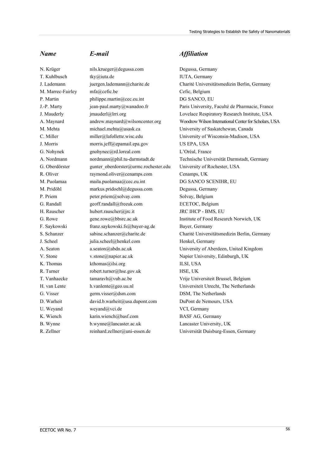N. Krüger nils.krueger@degussa.com Degussa, Germany T. Kuhlbusch tky@iuta.de IUTA, Germany M. Marrec-Fairley [mfa@cefic.be](mailto:MFA@cefic.be) Cefic, Belgium P. Martin philippe.martin@cec.eu.int DG SANCO, EU M. Mehta michael.mehta@usask.ca University of Saskatchewan, Canada C. Miller miller@lafollette.wisc.edu University of Wisconsin-Madison, USA J. Morris morris.jeff@epamail.epa.gov US EPA, USA G. Nohynek [gnohynec@rd.loreal.com](mailto:gnohynec@rd.loreal.com) L'Oréal, France G. Oberdörster gunter oberdorster@urmc.rochester.edu University of Rochester, USA R. Oliver raymond.oliver@cenamps.com Cenamps, UK M. Puolamaa [maila.puolamaa@cec.eu.int](mailto:maila.puolamaa@cec.eu.int) DG SANCO SCENIHR, EU M. Pridöhl markus.pridoehl@degussa.com Degussa, Germany P. Priem peter.priem@solvay.com Solvay, Belgium G. Randall endedling and geoff.randall@freeuk.com ECETOC, Belgium H. Rauscher hubert.rauscher@jrc.it JRC IHCP - BMS, EU G. Rowe gene.rowe@bbsrc.ac.uk Institute of Food Research Norwich, UK F. Saykowski [franz.saykowski.fs@bayer-ag.de](mailto:franz.saykowski.fs@bayer-ag.de) Bayer, Germany J. Scheel iulia.scheel@henkel.com Henkel, Germany V. Stone v.stone@napier.ac.uk Napier University, Edinburgh, UK K. Thomas [kthomas@ilsi.org](mailto:kthomas@ilsi.org) ILSI, USA R. Turner robert.turner@hse.gov.uk HSE, UK T. Vanhaecke [tamaravh@vub.ac.be](mailto:tamaravh@vub.ac.be) Vrije Universiteit Brussel, Belgium H. van Lente h.vanlente@geo.uu.nl Universiteit Utrecht, The Netherlands G. Visser germ.visser@dsm.com DSM, The Netherlands D. Warheit david.b.warheit@usa.dupont.com DuPont de Nemours, USA U. Weyand weyand weyand weyand were vCI, Germany K. Wiench karin.wiench@basf.com BASF AG, Germany B. Wynne b.wynne@lancaster.ac.uk Lancaster University, UK R. Zellner reinhard.zellner@uni-essen.de Universität Duisburg-Essen, Germany

## *Name E-mail Affiliation*

J. Lademann juergen.lademann@charite.de Charité Universitätsmedizin Berlin, Germany J.-P. Marty jean-paul.marty@wanadoo.fr Paris University, Faculté de Pharmacie, France J. Mauderly jmauderl@lrri.org Lovelace Respiratory Research Institute, USA A. Maynard andrew.maynard@wilsoncenter.org Woodrow Wilson International Center for Scholars, USA A. Nordmann nordmann@phil.tu-darmstadt.de Technische Universität Darmstadt, Germany S. Schanzer sabine.schanzer@charite.de Charité Universitätsmedizin Berlin, Germany A. Seaton [a.seaton@abdn.ac.uk](mailto:a.seaton@abdn.ac.uk) University of Aberdeen, United Kingdom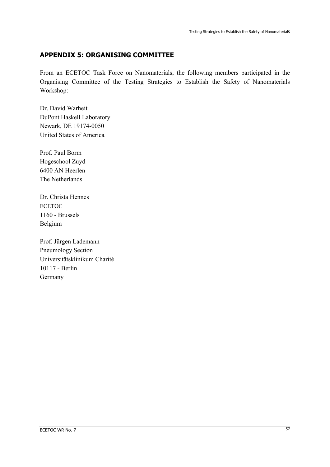# **APPENDIX 5: ORGANISING COMMITTEE**

From an ECETOC Task Force on Nanomaterials, the following members participated in the Organising Committee of the Testing Strategies to Establish the Safety of Nanomaterials Workshop:

Dr. David Warheit DuPont Haskell Laboratory Newark, DE 19174-0050 United States of America

Prof. Paul Borm Hogeschool Zuyd 6400 AN Heerlen The Netherlands

Dr. Christa Hennes **ECETOC** 1160 - Brussels Belgium

Prof. Jürgen Lademann Pneumology Section Universitätsklinikum Charité 10117 - Berlin Germany